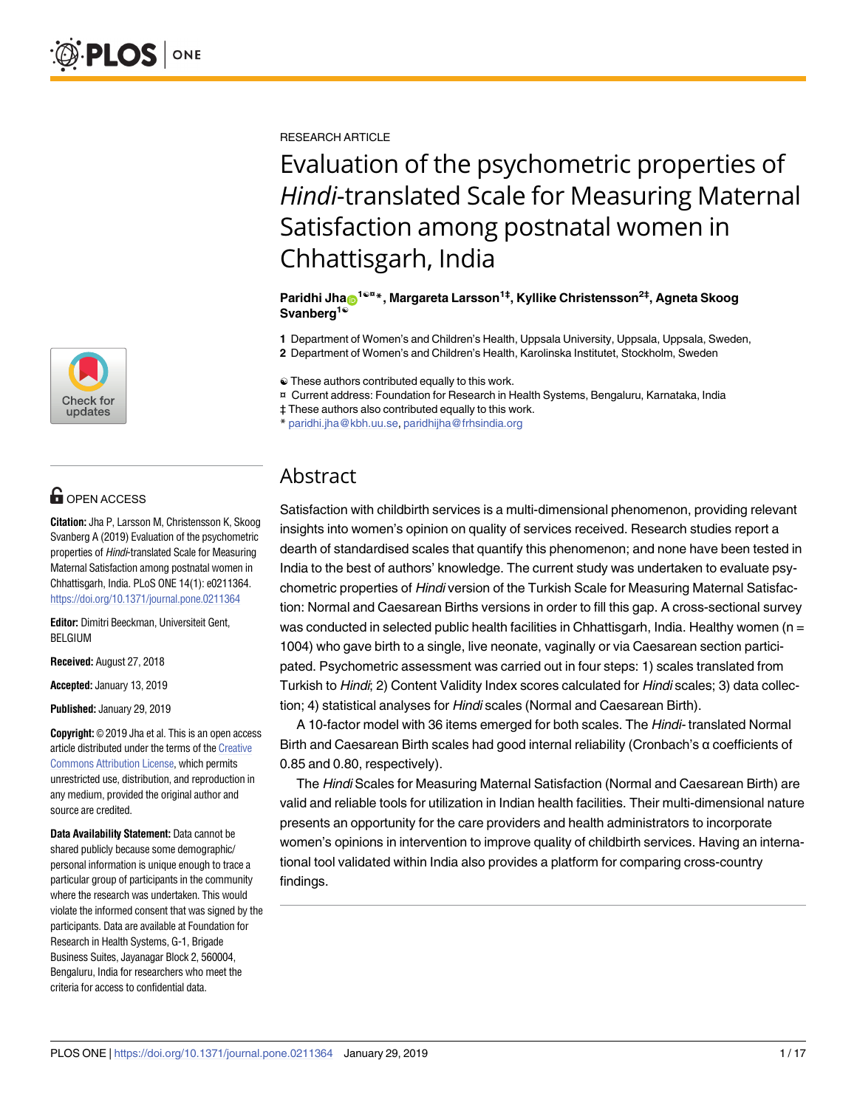

# **G** OPEN ACCESS

**Citation:** Jha P, Larsson M, Christensson K, Skoog Svanberg A (2019) Evaluation of the psychometric properties of Hindi-translated Scale for Measuring Maternal Satisfaction among postnatal women in Chhattisgarh, India. PLoS ONE 14(1): e0211364. <https://doi.org/10.1371/journal.pone.0211364>

**Editor:** Dimitri Beeckman, Universiteit Gent, BELGIUM

**Received:** August 27, 2018

**Accepted:** January 13, 2019

**Published:** January 29, 2019

**Copyright:** © 2019 Jha et al. This is an open access article distributed under the terms of the [Creative](http://creativecommons.org/licenses/by/4.0/) [Commons](http://creativecommons.org/licenses/by/4.0/) Attribution License, which permits unrestricted use, distribution, and reproduction in any medium, provided the original author and source are credited.

**Data Availability Statement:** Data cannot be shared publicly because some demographic/ personal information is unique enough to trace a particular group of participants in the community where the research was undertaken. This would violate the informed consent that was signed by the participants. Data are available at Foundation for Research in Health Systems, G-1, Brigade Business Suites, Jayanagar Block 2, 560004, Bengaluru, India for researchers who meet the criteria for access to confidential data.

RESEARCH ARTICLE

# Evaluation of the psychometric properties of *Hindi*-translated Scale for Measuring Maternal Satisfaction among postnatal women in Chhattisgarh, India

#### **Paridhi Jha[ID1](http://orcid.org/0000-0002-1285-7138)**☯**¤ \*, Margareta Larsson1‡, Kyllike Christensson2‡, Agneta Skoog Svanberg1**☯

**1** Department of Women's and Children's Health, Uppsala University, Uppsala, Uppsala, Sweden,

**2** Department of Women's and Children's Health, Karolinska Institutet, Stockholm, Sweden

☯ These authors contributed equally to this work.

¤ Current address: Foundation for Research in Health Systems, Bengaluru, Karnataka, India

‡ These authors also contributed equally to this work.

\* paridhi.jha@kbh.uu.se, paridhijha@frhsindia.org

# Abstract

Satisfaction with childbirth services is a multi-dimensional phenomenon, providing relevant insights into women's opinion on quality of services received. Research studies report a dearth of standardised scales that quantify this phenomenon; and none have been tested in India to the best of authors' knowledge. The current study was undertaken to evaluate psychometric properties of Hindi version of the Turkish Scale for Measuring Maternal Satisfaction: Normal and Caesarean Births versions in order to fill this gap. A cross-sectional survey was conducted in selected public health facilities in Chhattisgarh, India. Healthy women ( $n =$ 1004) who gave birth to a single, live neonate, vaginally or via Caesarean section participated. Psychometric assessment was carried out in four steps: 1) scales translated from Turkish to Hindi; 2) Content Validity Index scores calculated for Hindi scales; 3) data collection; 4) statistical analyses for Hindi scales (Normal and Caesarean Birth).

A 10-factor model with 36 items emerged for both scales. The Hindi- translated Normal Birth and Caesarean Birth scales had good internal reliability (Cronbach's α coefficients of 0.85 and 0.80, respectively).

The Hindi Scales for Measuring Maternal Satisfaction (Normal and Caesarean Birth) are valid and reliable tools for utilization in Indian health facilities. Their multi-dimensional nature presents an opportunity for the care providers and health administrators to incorporate women's opinions in intervention to improve quality of childbirth services. Having an international tool validated within India also provides a platform for comparing cross-country findings.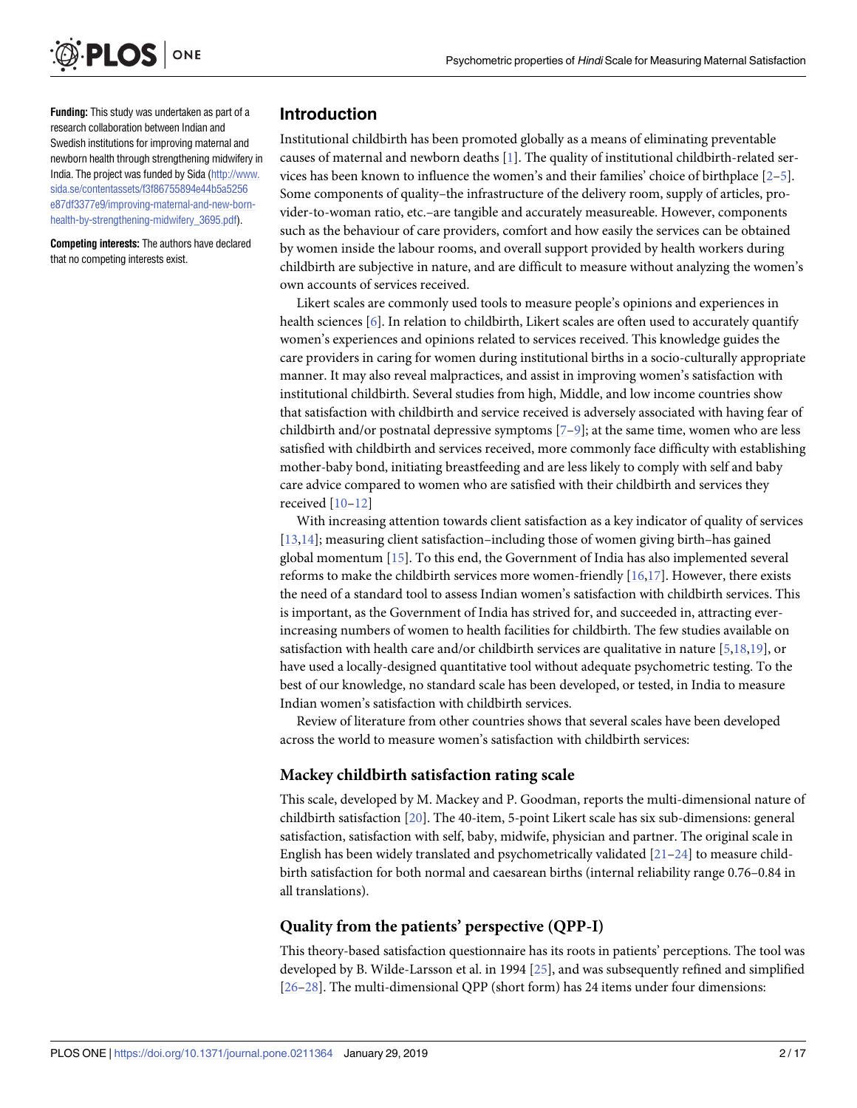<span id="page-1-0"></span>

**Funding:** This study was undertaken as part of a research collaboration between Indian and Swedish institutions for improving maternal and newborn health through strengthening midwifery in India. The project was funded by Sida [\(http://www.](http://www.sida.se/contentassets/f3f86755894e44b5a5256e87df3377e9/improving-maternal-and-new-born-health-by-strengthening-midwifery_3695.pdf) [sida.se/contentassets/f3f86755894e44b5a5256](http://www.sida.se/contentassets/f3f86755894e44b5a5256e87df3377e9/improving-maternal-and-new-born-health-by-strengthening-midwifery_3695.pdf) [e87df3377e9/improving-maternal-and-new-born](http://www.sida.se/contentassets/f3f86755894e44b5a5256e87df3377e9/improving-maternal-and-new-born-health-by-strengthening-midwifery_3695.pdf)[health-by-strengthening-midwifery\\_3695.pdf](http://www.sida.se/contentassets/f3f86755894e44b5a5256e87df3377e9/improving-maternal-and-new-born-health-by-strengthening-midwifery_3695.pdf)).

**Competing interests:** The authors have declared that no competing interests exist.

## **Introduction**

Institutional childbirth has been promoted globally as a means of eliminating preventable causes of maternal and newborn deaths [\[1](#page-13-0)]. The quality of institutional childbirth-related services has been known to influence the women's and their families' choice of birthplace [[2](#page-13-0)–[5](#page-13-0)]. Some components of quality–the infrastructure of the delivery room, supply of articles, provider-to-woman ratio, etc.–are tangible and accurately measureable. However, components such as the behaviour of care providers, comfort and how easily the services can be obtained by women inside the labour rooms, and overall support provided by health workers during childbirth are subjective in nature, and are difficult to measure without analyzing the women's own accounts of services received.

Likert scales are commonly used tools to measure people's opinions and experiences in health sciences [[6](#page-13-0)]. In relation to childbirth, Likert scales are often used to accurately quantify women's experiences and opinions related to services received. This knowledge guides the care providers in caring for women during institutional births in a socio-culturally appropriate manner. It may also reveal malpractices, and assist in improving women's satisfaction with institutional childbirth. Several studies from high, Middle, and low income countries show that satisfaction with childbirth and service received is adversely associated with having fear of childbirth and/or postnatal depressive symptoms [ $7-9$ ]; at the same time, women who are less satisfied with childbirth and services received, more commonly face difficulty with establishing mother-baby bond, initiating breastfeeding and are less likely to comply with self and baby care advice compared to women who are satisfied with their childbirth and services they received [[10–12\]](#page-13-0)

With increasing attention towards client satisfaction as a key indicator of quality of services [\[13,14\]](#page-13-0); measuring client satisfaction–including those of women giving birth–has gained global momentum [\[15\]](#page-13-0). To this end, the Government of India has also implemented several reforms to make the childbirth services more women-friendly [\[16,17](#page-13-0)]. However, there exists the need of a standard tool to assess Indian women's satisfaction with childbirth services. This is important, as the Government of India has strived for, and succeeded in, attracting everincreasing numbers of women to health facilities for childbirth. The few studies available on satisfaction with health care and/or childbirth services are qualitative in nature [\[5,](#page-13-0)[18,19](#page-14-0)], or have used a locally-designed quantitative tool without adequate psychometric testing. To the best of our knowledge, no standard scale has been developed, or tested, in India to measure Indian women's satisfaction with childbirth services.

Review of literature from other countries shows that several scales have been developed across the world to measure women's satisfaction with childbirth services:

#### **Mackey childbirth satisfaction rating scale**

This scale, developed by M. Mackey and P. Goodman, reports the multi-dimensional nature of childbirth satisfaction [\[20\]](#page-14-0). The 40-item, 5-point Likert scale has six sub-dimensions: general satisfaction, satisfaction with self, baby, midwife, physician and partner. The original scale in English has been widely translated and psychometrically validated  $[21-24]$  to measure childbirth satisfaction for both normal and caesarean births (internal reliability range 0.76–0.84 in all translations).

# **Quality from the patients' perspective (QPP-I)**

This theory-based satisfaction questionnaire has its roots in patients' perceptions. The tool was developed by B. Wilde-Larsson et al. in 1994 [[25](#page-14-0)], and was subsequently refined and simplified [\[26–28\]](#page-14-0). The multi-dimensional QPP (short form) has 24 items under four dimensions: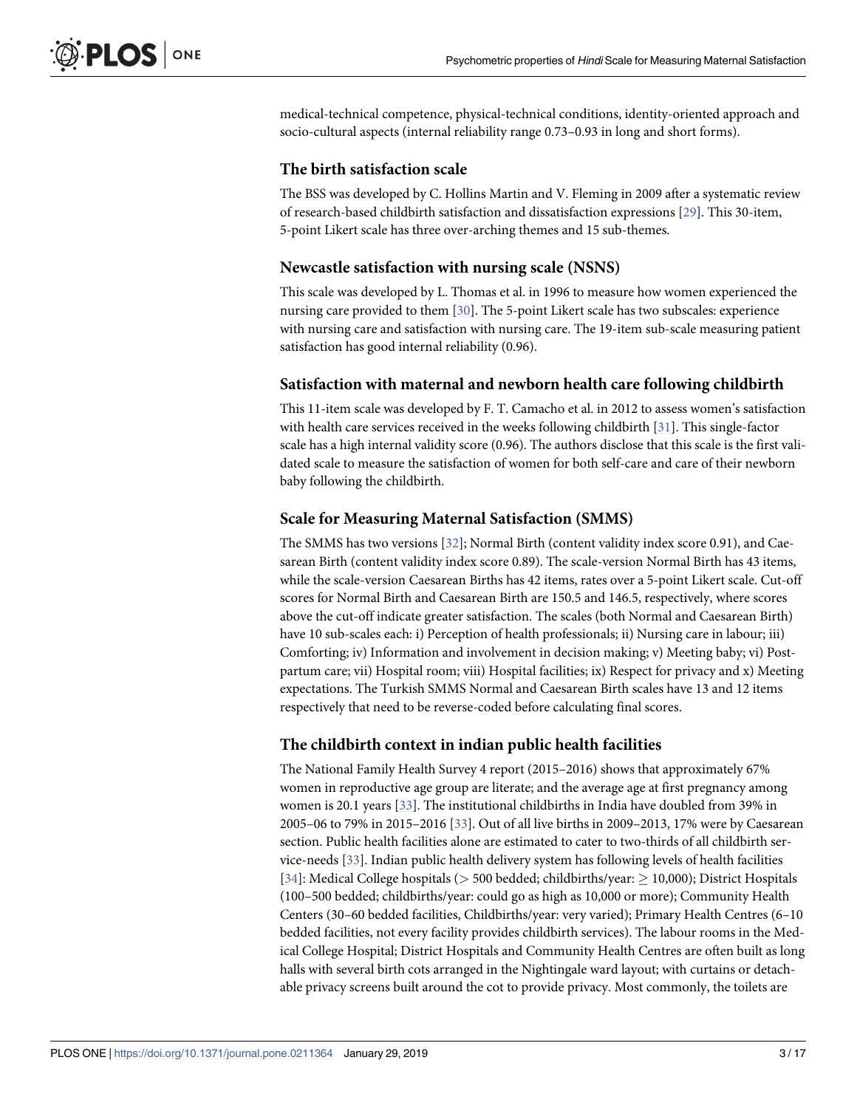<span id="page-2-0"></span>medical-technical competence, physical-technical conditions, identity-oriented approach and socio-cultural aspects (internal reliability range 0.73–0.93 in long and short forms).

#### **The birth satisfaction scale**

The BSS was developed by C. Hollins Martin and V. Fleming in 2009 after a systematic review of research-based childbirth satisfaction and dissatisfaction expressions [\[29\]](#page-14-0). This 30-item, 5-point Likert scale has three over-arching themes and 15 sub-themes.

#### **Newcastle satisfaction with nursing scale (NSNS)**

This scale was developed by L. Thomas et al. in 1996 to measure how women experienced the nursing care provided to them [[30](#page-14-0)]. The 5-point Likert scale has two subscales: experience with nursing care and satisfaction with nursing care. The 19-item sub-scale measuring patient satisfaction has good internal reliability (0.96).

#### **Satisfaction with maternal and newborn health care following childbirth**

This 11-item scale was developed by F. T. Camacho et al. in 2012 to assess women's satisfaction with health care services received in the weeks following childbirth [\[31\]](#page-14-0). This single-factor scale has a high internal validity score (0.96). The authors disclose that this scale is the first validated scale to measure the satisfaction of women for both self-care and care of their newborn baby following the childbirth.

#### **Scale for Measuring Maternal Satisfaction (SMMS)**

The SMMS has two versions [\[32\]](#page-14-0); Normal Birth (content validity index score 0.91), and Caesarean Birth (content validity index score 0.89). The scale-version Normal Birth has 43 items, while the scale-version Caesarean Births has 42 items, rates over a 5-point Likert scale. Cut-off scores for Normal Birth and Caesarean Birth are 150.5 and 146.5, respectively, where scores above the cut-off indicate greater satisfaction. The scales (both Normal and Caesarean Birth) have 10 sub-scales each: i) Perception of health professionals; ii) Nursing care in labour; iii) Comforting; iv) Information and involvement in decision making; v) Meeting baby; vi) Postpartum care; vii) Hospital room; viii) Hospital facilities; ix) Respect for privacy and x) Meeting expectations. The Turkish SMMS Normal and Caesarean Birth scales have 13 and 12 items respectively that need to be reverse-coded before calculating final scores.

#### **The childbirth context in indian public health facilities**

The National Family Health Survey 4 report (2015–2016) shows that approximately 67% women in reproductive age group are literate; and the average age at first pregnancy among women is 20.1 years [\[33\]](#page-14-0). The institutional childbirths in India have doubled from 39% in 2005–06 to 79% in 2015–2016 [[33](#page-14-0)]. Out of all live births in 2009–2013, 17% were by Caesarean section. Public health facilities alone are estimated to cater to two-thirds of all childbirth service-needs [[33](#page-14-0)]. Indian public health delivery system has following levels of health facilities [\[34\]](#page-14-0): Medical College hospitals ( $> 500$  bedded; childbirths/year:  $\geq 10,000$ ); District Hospitals (100–500 bedded; childbirths/year: could go as high as 10,000 or more); Community Health Centers (30–60 bedded facilities, Childbirths/year: very varied); Primary Health Centres (6–10 bedded facilities, not every facility provides childbirth services). The labour rooms in the Medical College Hospital; District Hospitals and Community Health Centres are often built as long halls with several birth cots arranged in the Nightingale ward layout; with curtains or detachable privacy screens built around the cot to provide privacy. Most commonly, the toilets are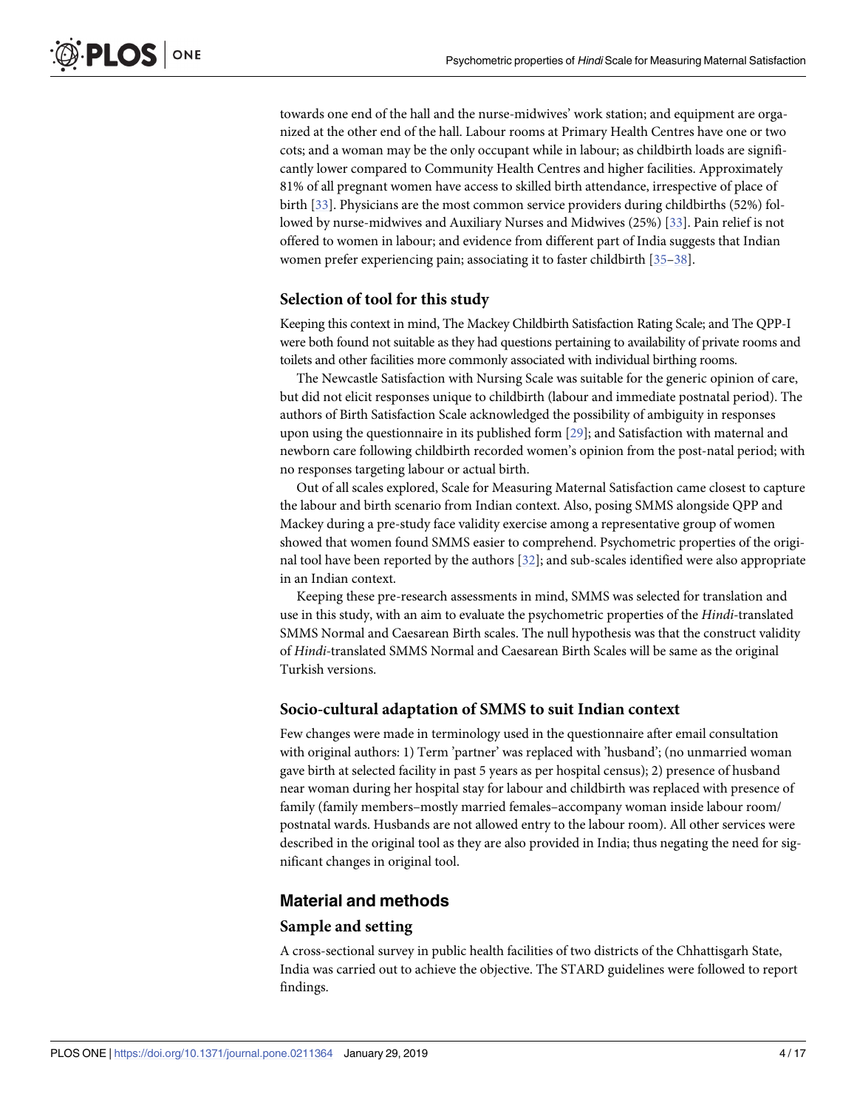<span id="page-3-0"></span>towards one end of the hall and the nurse-midwives' work station; and equipment are organized at the other end of the hall. Labour rooms at Primary Health Centres have one or two cots; and a woman may be the only occupant while in labour; as childbirth loads are significantly lower compared to Community Health Centres and higher facilities. Approximately 81% of all pregnant women have access to skilled birth attendance, irrespective of place of birth [\[33\]](#page-14-0). Physicians are the most common service providers during childbirths (52%) followed by nurse-midwives and Auxiliary Nurses and Midwives (25%) [\[33\]](#page-14-0). Pain relief is not offered to women in labour; and evidence from different part of India suggests that Indian women prefer experiencing pain; associating it to faster childbirth [\[35–](#page-14-0)[38](#page-15-0)].

#### **Selection of tool for this study**

Keeping this context in mind, The Mackey Childbirth Satisfaction Rating Scale; and The QPP-I were both found not suitable as they had questions pertaining to availability of private rooms and toilets and other facilities more commonly associated with individual birthing rooms.

The Newcastle Satisfaction with Nursing Scale was suitable for the generic opinion of care, but did not elicit responses unique to childbirth (labour and immediate postnatal period). The authors of Birth Satisfaction Scale acknowledged the possibility of ambiguity in responses upon using the questionnaire in its published form [\[29\]](#page-14-0); and Satisfaction with maternal and newborn care following childbirth recorded women's opinion from the post-natal period; with no responses targeting labour or actual birth.

Out of all scales explored, Scale for Measuring Maternal Satisfaction came closest to capture the labour and birth scenario from Indian context. Also, posing SMMS alongside QPP and Mackey during a pre-study face validity exercise among a representative group of women showed that women found SMMS easier to comprehend. Psychometric properties of the original tool have been reported by the authors [\[32\]](#page-14-0); and sub-scales identified were also appropriate in an Indian context.

Keeping these pre-research assessments in mind, SMMS was selected for translation and use in this study, with an aim to evaluate the psychometric properties of the *Hindi-*translated SMMS Normal and Caesarean Birth scales. The null hypothesis was that the construct validity of *Hindi-*translated SMMS Normal and Caesarean Birth Scales will be same as the original Turkish versions.

#### **Socio-cultural adaptation of SMMS to suit Indian context**

Few changes were made in terminology used in the questionnaire after email consultation with original authors: 1) Term 'partner' was replaced with 'husband'; (no unmarried woman gave birth at selected facility in past 5 years as per hospital census); 2) presence of husband near woman during her hospital stay for labour and childbirth was replaced with presence of family (family members–mostly married females–accompany woman inside labour room/ postnatal wards. Husbands are not allowed entry to the labour room). All other services were described in the original tool as they are also provided in India; thus negating the need for significant changes in original tool.

#### **Material and methods**

#### **Sample and setting**

A cross-sectional survey in public health facilities of two districts of the Chhattisgarh State, India was carried out to achieve the objective. The STARD guidelines were followed to report findings.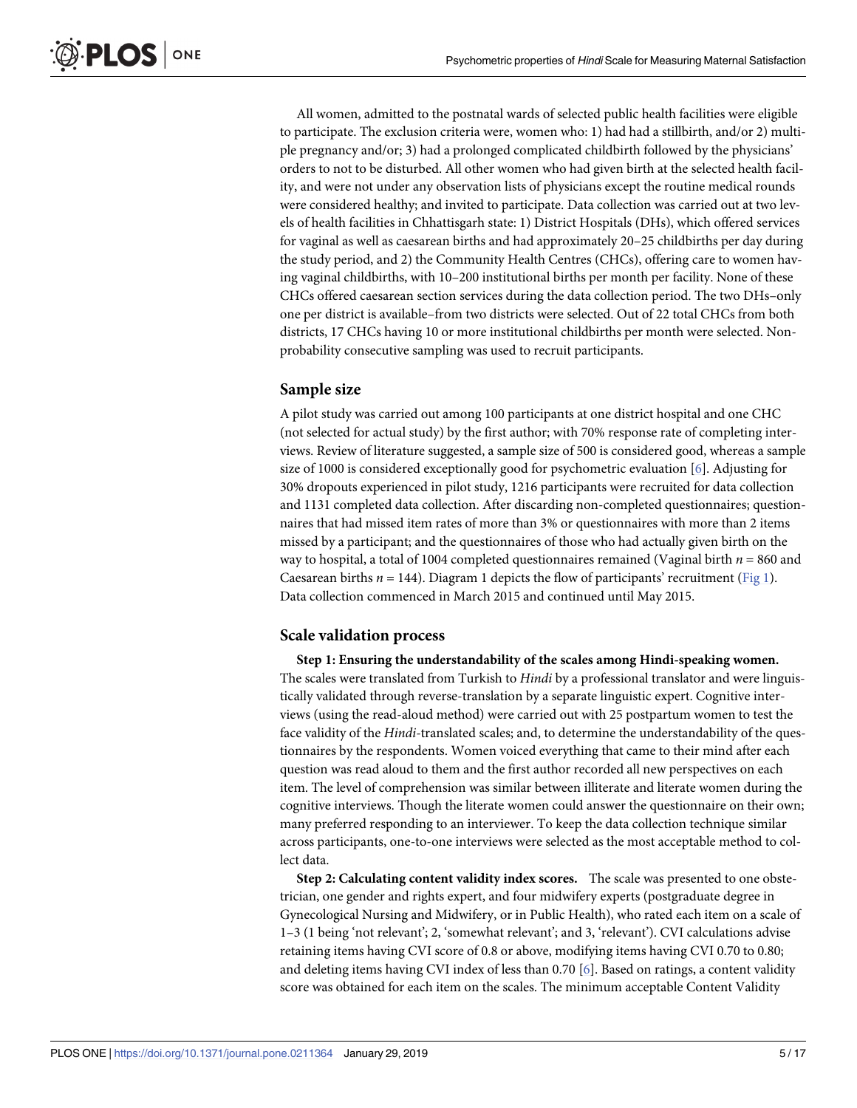<span id="page-4-0"></span>All women, admitted to the postnatal wards of selected public health facilities were eligible to participate. The exclusion criteria were, women who: 1) had had a stillbirth, and/or 2) multiple pregnancy and/or; 3) had a prolonged complicated childbirth followed by the physicians' orders to not to be disturbed. All other women who had given birth at the selected health facility, and were not under any observation lists of physicians except the routine medical rounds were considered healthy; and invited to participate. Data collection was carried out at two levels of health facilities in Chhattisgarh state: 1) District Hospitals (DHs), which offered services for vaginal as well as caesarean births and had approximately 20–25 childbirths per day during the study period, and 2) the Community Health Centres (CHCs), offering care to women having vaginal childbirths, with 10–200 institutional births per month per facility. None of these CHCs offered caesarean section services during the data collection period. The two DHs–only one per district is available–from two districts were selected. Out of 22 total CHCs from both districts, 17 CHCs having 10 or more institutional childbirths per month were selected. Nonprobability consecutive sampling was used to recruit participants.

#### **Sample size**

A pilot study was carried out among 100 participants at one district hospital and one CHC (not selected for actual study) by the first author; with 70% response rate of completing interviews. Review of literature suggested, a sample size of 500 is considered good, whereas a sample size of 1000 is considered exceptionally good for psychometric evaluation [[6\]](#page-13-0). Adjusting for 30% dropouts experienced in pilot study, 1216 participants were recruited for data collection and 1131 completed data collection. After discarding non-completed questionnaires; questionnaires that had missed item rates of more than 3% or questionnaires with more than 2 items missed by a participant; and the questionnaires of those who had actually given birth on the way to hospital, a total of 1004 completed questionnaires remained (Vaginal birth  $n = 860$  and Caesarean births  $n = 144$ ). Diagram 1 depicts the flow of participants' recruitment [\(Fig](#page-5-0) 1). Data collection commenced in March 2015 and continued until May 2015.

#### **Scale validation process**

**Step 1: Ensuring the understandability of the scales among Hindi-speaking women.** The scales were translated from Turkish to *Hindi* by a professional translator and were linguistically validated through reverse-translation by a separate linguistic expert. Cognitive interviews (using the read-aloud method) were carried out with 25 postpartum women to test the face validity of the *Hindi-*translated scales; and, to determine the understandability of the questionnaires by the respondents. Women voiced everything that came to their mind after each question was read aloud to them and the first author recorded all new perspectives on each item. The level of comprehension was similar between illiterate and literate women during the cognitive interviews. Though the literate women could answer the questionnaire on their own; many preferred responding to an interviewer. To keep the data collection technique similar across participants, one-to-one interviews were selected as the most acceptable method to collect data.

**Step 2: Calculating content validity index scores.** The scale was presented to one obstetrician, one gender and rights expert, and four midwifery experts (postgraduate degree in Gynecological Nursing and Midwifery, or in Public Health), who rated each item on a scale of 1–3 (1 being 'not relevant'; 2, 'somewhat relevant'; and 3, 'relevant'). CVI calculations advise retaining items having CVI score of 0.8 or above, modifying items having CVI 0.70 to 0.80; and deleting items having CVI index of less than 0.70 [\[6\]](#page-13-0). Based on ratings, a content validity score was obtained for each item on the scales. The minimum acceptable Content Validity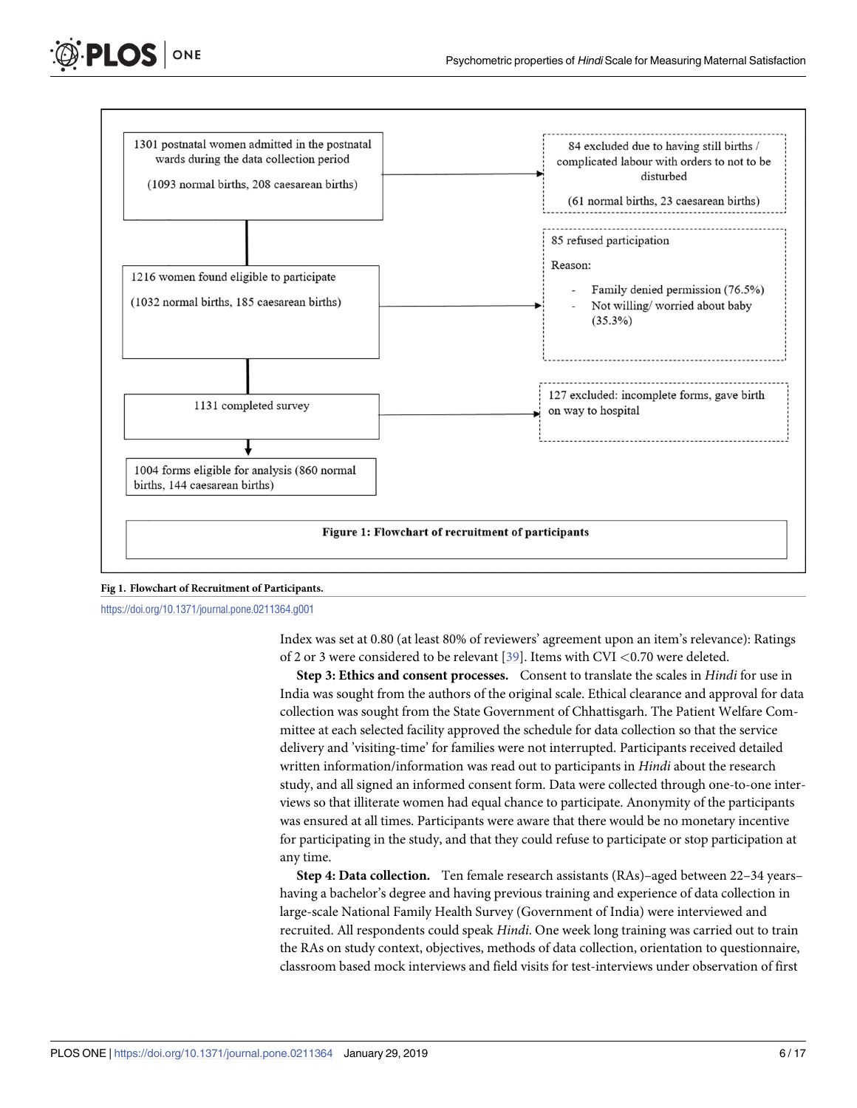<span id="page-5-0"></span>



<https://doi.org/10.1371/journal.pone.0211364.g001>

Index was set at 0.80 (at least 80% of reviewers' agreement upon an item's relevance): Ratings of 2 or 3 were considered to be relevant [[39](#page-15-0)]. Items with CVI *<*0.70 were deleted.

**Step 3: Ethics and consent processes.** Consent to translate the scales in *Hindi* for use in India was sought from the authors of the original scale. Ethical clearance and approval for data collection was sought from the State Government of Chhattisgarh. The Patient Welfare Committee at each selected facility approved the schedule for data collection so that the service delivery and 'visiting-time' for families were not interrupted. Participants received detailed written information/information was read out to participants in *Hindi* about the research study, and all signed an informed consent form. Data were collected through one-to-one interviews so that illiterate women had equal chance to participate. Anonymity of the participants was ensured at all times. Participants were aware that there would be no monetary incentive for participating in the study, and that they could refuse to participate or stop participation at any time.

**Step 4: Data collection.** Ten female research assistants (RAs)–aged between 22–34 years– having a bachelor's degree and having previous training and experience of data collection in large-scale National Family Health Survey (Government of India) were interviewed and recruited. All respondents could speak *Hindi*. One week long training was carried out to train the RAs on study context, objectives, methods of data collection, orientation to questionnaire, classroom based mock interviews and field visits for test-interviews under observation of first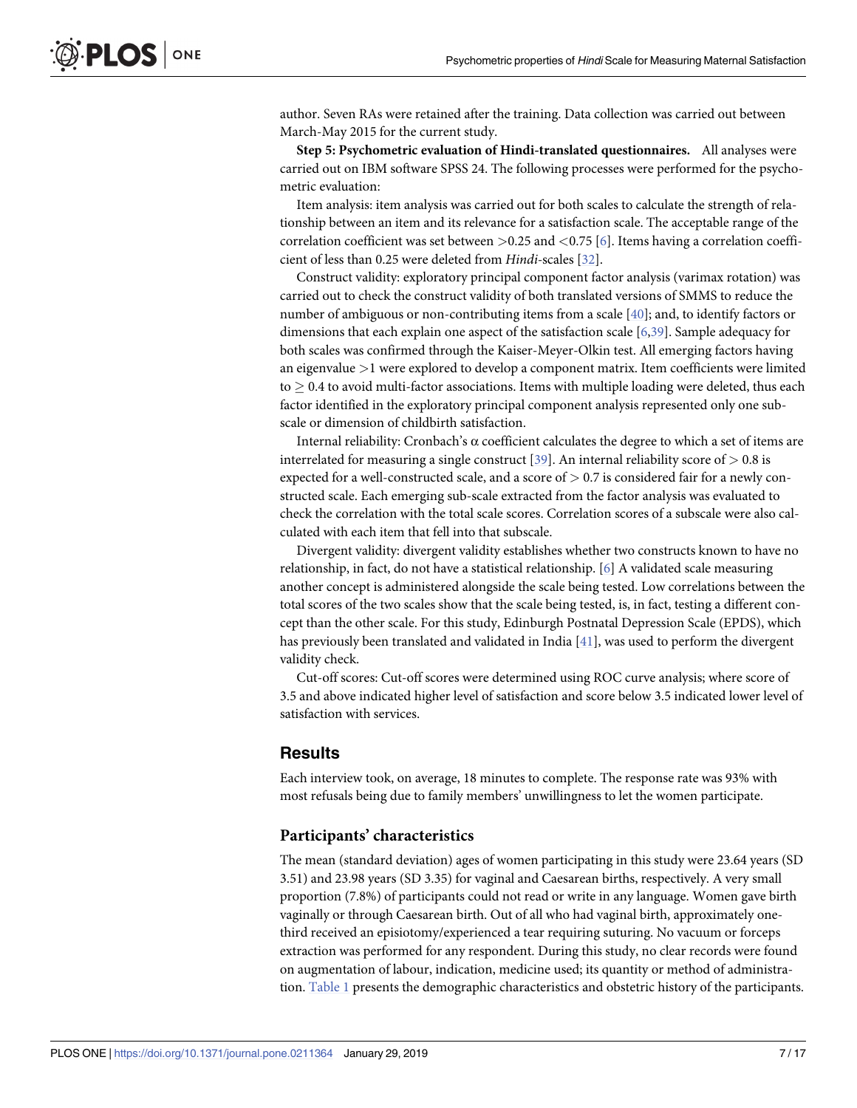<span id="page-6-0"></span>author. Seven RAs were retained after the training. Data collection was carried out between March-May 2015 for the current study.

**Step 5: Psychometric evaluation of Hindi-translated questionnaires.** All analyses were carried out on IBM software SPSS 24. The following processes were performed for the psychometric evaluation:

Item analysis: item analysis was carried out for both scales to calculate the strength of relationship between an item and its relevance for a satisfaction scale. The acceptable range of the correlation coefficient was set between *>*0.25 and *<*0.75 [[6\]](#page-13-0). Items having a correlation coefficient of less than 0.25 were deleted from *Hindi-*scales [[32](#page-14-0)].

Construct validity: exploratory principal component factor analysis (varimax rotation) was carried out to check the construct validity of both translated versions of SMMS to reduce the number of ambiguous or non-contributing items from a scale [[40](#page-15-0)]; and, to identify factors or dimensions that each explain one aspect of the satisfaction scale [[6,](#page-13-0)[39](#page-15-0)]. Sample adequacy for both scales was confirmed through the Kaiser-Meyer-Olkin test. All emerging factors having an eigenvalue *>*1 were explored to develop a component matrix. Item coefficients were limited  $to$   $>$  0.4 to avoid multi-factor associations. Items with multiple loading were deleted, thus each factor identified in the exploratory principal component analysis represented only one subscale or dimension of childbirth satisfaction.

Internal reliability: Cronbach's α coefficient calculates the degree to which a set of items are interrelated for measuring a single construct [[39](#page-15-0)]. An internal reliability score of *>* 0.8 is expected for a well-constructed scale, and a score of *>* 0.7 is considered fair for a newly constructed scale. Each emerging sub-scale extracted from the factor analysis was evaluated to check the correlation with the total scale scores. Correlation scores of a subscale were also calculated with each item that fell into that subscale.

Divergent validity: divergent validity establishes whether two constructs known to have no relationship, in fact, do not have a statistical relationship. [\[6](#page-13-0)] A validated scale measuring another concept is administered alongside the scale being tested. Low correlations between the total scores of the two scales show that the scale being tested, is, in fact, testing a different concept than the other scale. For this study, Edinburgh Postnatal Depression Scale (EPDS), which has previously been translated and validated in India [[41](#page-15-0)], was used to perform the divergent validity check.

Cut-off scores: Cut-off scores were determined using ROC curve analysis; where score of 3.5 and above indicated higher level of satisfaction and score below 3.5 indicated lower level of satisfaction with services.

#### **Results**

Each interview took, on average, 18 minutes to complete. The response rate was 93% with most refusals being due to family members' unwillingness to let the women participate.

#### **Participants' characteristics**

The mean (standard deviation) ages of women participating in this study were 23.64 years (SD 3.51) and 23.98 years (SD 3.35) for vaginal and Caesarean births, respectively. A very small proportion (7.8%) of participants could not read or write in any language. Women gave birth vaginally or through Caesarean birth. Out of all who had vaginal birth, approximately onethird received an episiotomy/experienced a tear requiring suturing. No vacuum or forceps extraction was performed for any respondent. During this study, no clear records were found on augmentation of labour, indication, medicine used; its quantity or method of administration. [Table](#page-7-0) 1 presents the demographic characteristics and obstetric history of the participants.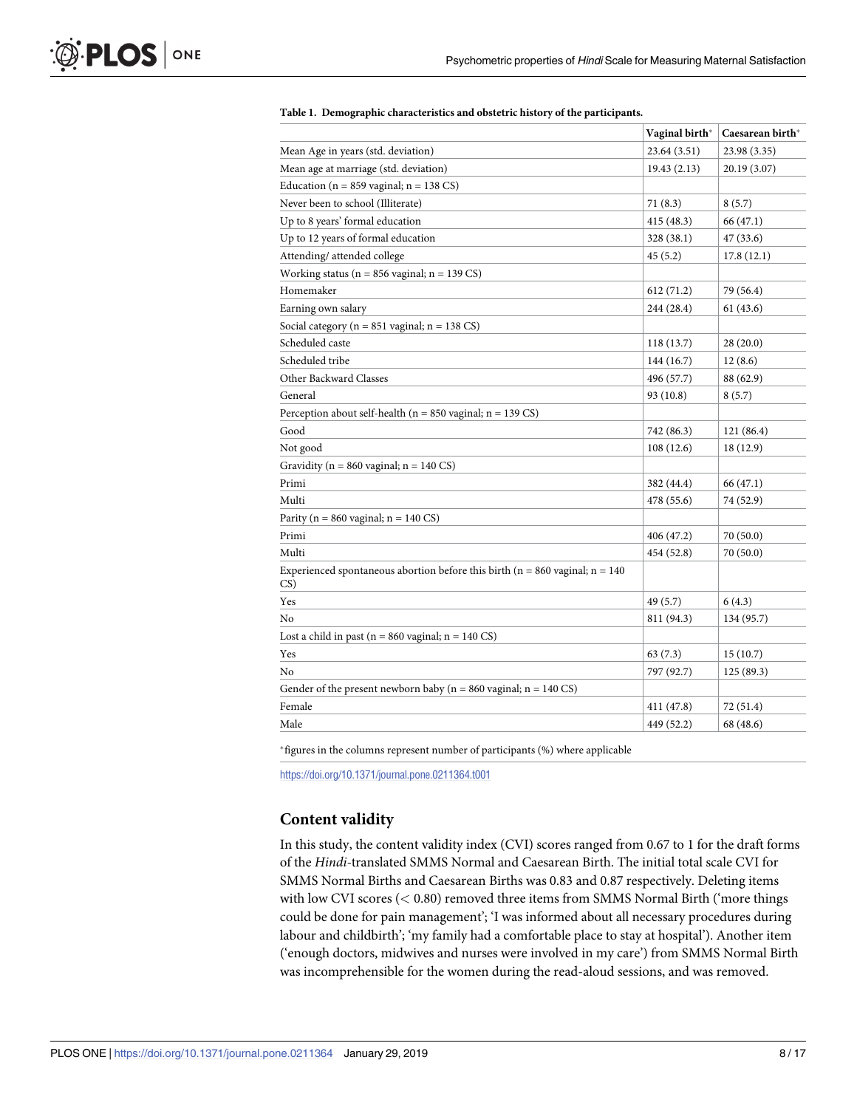<span id="page-7-0"></span>

|                                                                                          | Vaginal birth* | Caesarean birth* |
|------------------------------------------------------------------------------------------|----------------|------------------|
| Mean Age in years (std. deviation)                                                       | 23.64 (3.51)   | 23.98 (3.35)     |
| Mean age at marriage (std. deviation)                                                    | 19.43(2.13)    | 20.19 (3.07)     |
| Education ( $n = 859$ vaginal; $n = 138$ CS)                                             |                |                  |
| Never been to school (Illiterate)                                                        | 71(8.3)        | 8(5.7)           |
| Up to 8 years' formal education                                                          | 415 (48.3)     | 66 (47.1)        |
| Up to 12 years of formal education                                                       | 328 (38.1)     | 47(33.6)         |
| Attending/ attended college                                                              | 45(5.2)        | 17.8(12.1)       |
| Working status ( $n = 856$ vaginal; $n = 139$ CS)                                        |                |                  |
| Homemaker                                                                                | 612 (71.2)     | 79 (56.4)        |
| Earning own salary                                                                       | 244 (28.4)     | 61 (43.6)        |
| Social category ( $n = 851$ vaginal; $n = 138$ CS)                                       |                |                  |
| Scheduled caste                                                                          | 118(13.7)      | 28(20.0)         |
| Scheduled tribe                                                                          | 144 (16.7)     | 12(8.6)          |
| Other Backward Classes                                                                   | 496 (57.7)     | 88 (62.9)        |
| General                                                                                  | 93 (10.8)      | 8(5.7)           |
| Perception about self-health ( $n = 850$ vaginal; $n = 139$ CS)                          |                |                  |
| Good                                                                                     | 742 (86.3)     | 121 (86.4)       |
| Not good                                                                                 | 108 (12.6)     | 18 (12.9)        |
| Gravidity ( $n = 860$ vaginal; $n = 140$ CS)                                             |                |                  |
| Primi                                                                                    | 382 (44.4)     | 66 (47.1)        |
| Multi                                                                                    | 478 (55.6)     | 74 (52.9)        |
| Parity ( $n = 860$ vaginal; $n = 140$ CS)                                                |                |                  |
| Primi                                                                                    | 406 (47.2)     | 70 (50.0)        |
| Multi                                                                                    | 454 (52.8)     | 70 (50.0)        |
| Experienced spontaneous abortion before this birth ( $n = 860$ vaginal; $n = 140$<br>CS) |                |                  |
| Yes                                                                                      | 49 (5.7)       | 6(4.3)           |
| No                                                                                       | 811 (94.3)     | 134 (95.7)       |
| Lost a child in past ( $n = 860$ vaginal; $n = 140$ CS)                                  |                |                  |
| Yes                                                                                      | 63(7.3)        | 15(10.7)         |
| No                                                                                       | 797 (92.7)     | 125 (89.3)       |
| Gender of the present newborn baby ( $n = 860$ vaginal; $n = 140$ CS)                    |                |                  |
| Female                                                                                   | 411 (47.8)     | 72 (51.4)        |
| Male                                                                                     | 449 (52.2)     | 68 (48.6)        |

#### **[Table](#page-6-0) 1. Demographic characteristics and obstetric history of the participants.**

�figures in the columns represent number of participants (%) where applicable

<https://doi.org/10.1371/journal.pone.0211364.t001>

# **Content validity**

In this study, the content validity index (CVI) scores ranged from 0.67 to 1 for the draft forms of the *Hindi-*translated SMMS Normal and Caesarean Birth. The initial total scale CVI for SMMS Normal Births and Caesarean Births was 0.83 and 0.87 respectively. Deleting items with low CVI scores (*<* 0.80) removed three items from SMMS Normal Birth ('more things could be done for pain management'; 'I was informed about all necessary procedures during labour and childbirth'; 'my family had a comfortable place to stay at hospital'). Another item ('enough doctors, midwives and nurses were involved in my care') from SMMS Normal Birth was incomprehensible for the women during the read-aloud sessions, and was removed.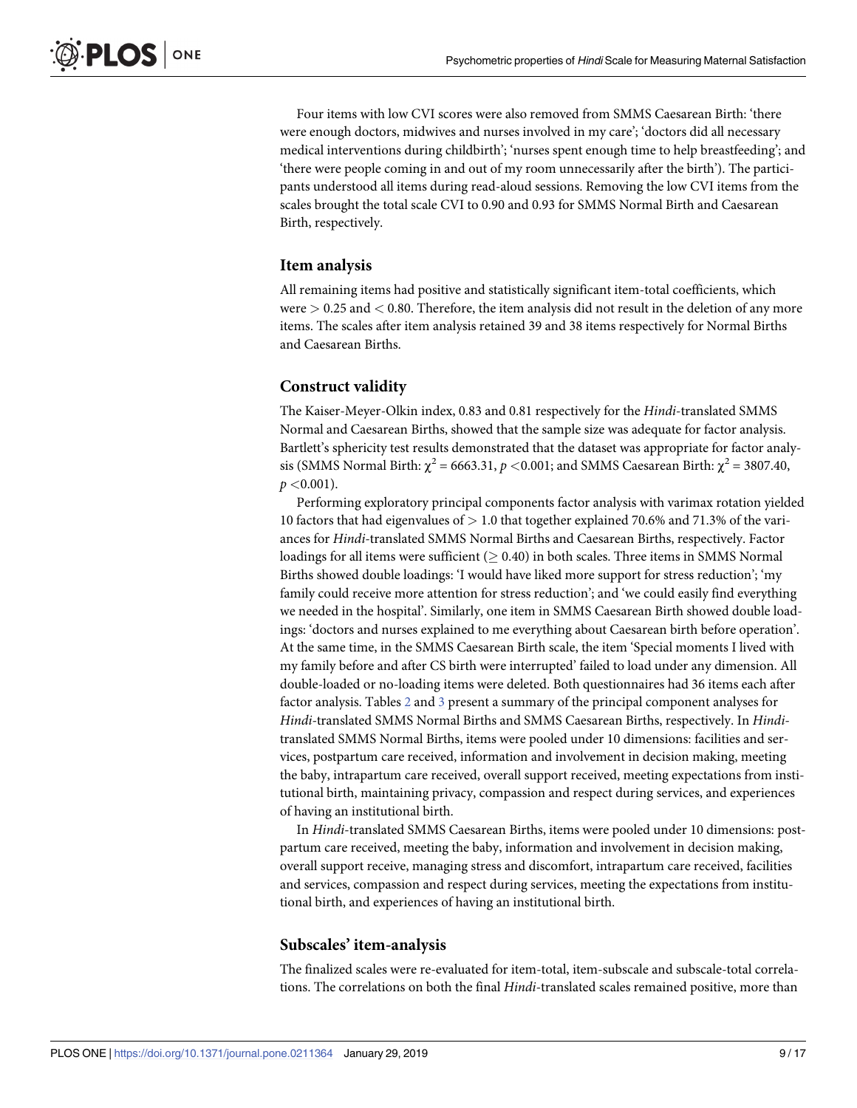<span id="page-8-0"></span>Four items with low CVI scores were also removed from SMMS Caesarean Birth: 'there were enough doctors, midwives and nurses involved in my care'; 'doctors did all necessary medical interventions during childbirth'; 'nurses spent enough time to help breastfeeding'; and 'there were people coming in and out of my room unnecessarily after the birth'). The participants understood all items during read-aloud sessions. Removing the low CVI items from the scales brought the total scale CVI to 0.90 and 0.93 for SMMS Normal Birth and Caesarean Birth, respectively.

#### **Item analysis**

All remaining items had positive and statistically significant item-total coefficients, which were *>* 0.25 and *<* 0.80. Therefore, the item analysis did not result in the deletion of any more items. The scales after item analysis retained 39 and 38 items respectively for Normal Births and Caesarean Births.

#### **Construct validity**

The Kaiser-Meyer-Olkin index, 0.83 and 0.81 respectively for the *Hindi*-translated SMMS Normal and Caesarean Births, showed that the sample size was adequate for factor analysis. Bartlett's sphericity test results demonstrated that the dataset was appropriate for factor analysis (SMMS Normal Birth:  $\chi^2$  = 6663.31,  $p$  <0.001; and SMMS Caesarean Birth:  $\chi^2$  = 3807.40, *p <*0.001).

Performing exploratory principal components factor analysis with varimax rotation yielded 10 factors that had eigenvalues of *>* 1.0 that together explained 70.6% and 71.3% of the variances for *Hindi-*translated SMMS Normal Births and Caesarean Births, respectively. Factor loadings for all items were sufficient  $($   $>$  0.40) in both scales. Three items in SMMS Normal Births showed double loadings: 'I would have liked more support for stress reduction'; 'my family could receive more attention for stress reduction'; and 'we could easily find everything we needed in the hospital'. Similarly, one item in SMMS Caesarean Birth showed double loadings: 'doctors and nurses explained to me everything about Caesarean birth before operation'. At the same time, in the SMMS Caesarean Birth scale, the item 'Special moments I lived with my family before and after CS birth were interrupted' failed to load under any dimension. All double-loaded or no-loading items were deleted. Both questionnaires had 36 items each after factor analysis. Tables [2](#page-9-0) and [3](#page-10-0) present a summary of the principal component analyses for *Hindi-*translated SMMS Normal Births and SMMS Caesarean Births, respectively. In *Hindi*translated SMMS Normal Births, items were pooled under 10 dimensions: facilities and services, postpartum care received, information and involvement in decision making, meeting the baby, intrapartum care received, overall support received, meeting expectations from institutional birth, maintaining privacy, compassion and respect during services, and experiences of having an institutional birth.

In *Hindi*-translated SMMS Caesarean Births, items were pooled under 10 dimensions: postpartum care received, meeting the baby, information and involvement in decision making, overall support receive, managing stress and discomfort, intrapartum care received, facilities and services, compassion and respect during services, meeting the expectations from institutional birth, and experiences of having an institutional birth.

#### **Subscales' item-analysis**

The finalized scales were re-evaluated for item-total, item-subscale and subscale-total correlations. The correlations on both the final *Hindi*-translated scales remained positive, more than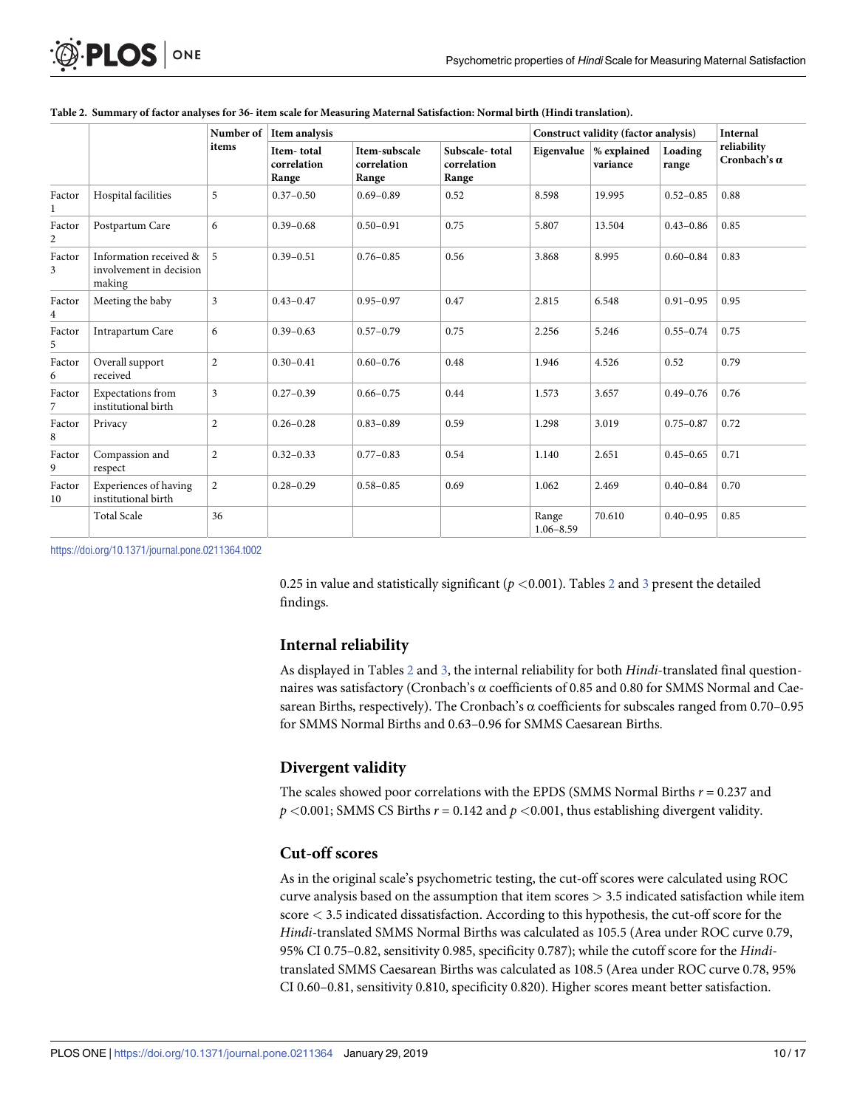<span id="page-9-0"></span>

| <b>D.PLOS</b> ONE |  |
|-------------------|--|
|-------------------|--|

|              |                                                             | Number of<br>items | Item analysis                      |                                       | Construct validity (factor analysis)   |                        |                                                | <b>Internal</b>  |                                    |
|--------------|-------------------------------------------------------------|--------------------|------------------------------------|---------------------------------------|----------------------------------------|------------------------|------------------------------------------------|------------------|------------------------------------|
|              |                                                             |                    | Item-total<br>correlation<br>Range | Item-subscale<br>correlation<br>Range | Subscale-total<br>correlation<br>Range |                        | Eigenvalue $\frac{1}{2}$ explained<br>variance | Loading<br>range | reliability<br>Cronbach's $\alpha$ |
| Factor       | Hospital facilities                                         | 5                  | $0.37 - 0.50$                      | $0.69 - 0.89$                         | 0.52                                   | 8.598                  | 19.995                                         | $0.52 - 0.85$    | 0.88                               |
| Factor<br>2  | Postpartum Care                                             | 6                  | $0.39 - 0.68$                      | $0.50 - 0.91$                         | 0.75                                   | 5.807                  | 13.504                                         | $0.43 - 0.86$    | 0.85                               |
| Factor<br>3  | Information received &<br>involvement in decision<br>making | 5                  | $0.39 - 0.51$                      | $0.76 - 0.85$                         | 0.56                                   | 3.868                  | 8.995                                          | $0.60 - 0.84$    | 0.83                               |
| Factor<br>4  | Meeting the baby                                            | $\overline{3}$     | $0.43 - 0.47$                      | $0.95 - 0.97$                         | 0.47                                   | 2.815                  | 6.548                                          | $0.91 - 0.95$    | 0.95                               |
| Factor<br>5  | Intrapartum Care                                            | 6                  | $0.39 - 0.63$                      | $0.57 - 0.79$                         | 0.75                                   | 2.256                  | 5.246                                          | $0.55 - 0.74$    | 0.75                               |
| Factor<br>6  | Overall support<br>received                                 | $\overline{c}$     | $0.30 - 0.41$                      | $0.60 - 0.76$                         | 0.48                                   | 1.946                  | 4.526                                          | 0.52             | 0.79                               |
| Factor<br>7  | <b>Expectations</b> from<br>institutional birth             | 3                  | $0.27 - 0.39$                      | $0.66 - 0.75$                         | 0.44                                   | 1.573                  | 3.657                                          | $0.49 - 0.76$    | 0.76                               |
| Factor<br>8  | Privacy                                                     | $\overline{c}$     | $0.26 - 0.28$                      | $0.83 - 0.89$                         | 0.59                                   | 1.298                  | 3.019                                          | $0.75 - 0.87$    | 0.72                               |
| Factor<br>9  | Compassion and<br>respect                                   | $\overline{c}$     | $0.32 - 0.33$                      | $0.77 - 0.83$                         | 0.54                                   | 1.140                  | 2.651                                          | $0.45 - 0.65$    | 0.71                               |
| Factor<br>10 | Experiences of having<br>institutional birth                | $\overline{2}$     | $0.28 - 0.29$                      | $0.58 - 0.85$                         | 0.69                                   | 1.062                  | 2.469                                          | $0.40 - 0.84$    | 0.70                               |
|              | <b>Total Scale</b>                                          | 36                 |                                    |                                       |                                        | Range<br>$1.06 - 8.59$ | 70.610                                         | $0.40 - 0.95$    | 0.85                               |

|  |  |  |  |  | Table 2. Summary of factor analyses for 36-item scale for Measuring Maternal Satisfaction: Normal birth (Hindi translation). |  |
|--|--|--|--|--|------------------------------------------------------------------------------------------------------------------------------|--|
|  |  |  |  |  |                                                                                                                              |  |

<https://doi.org/10.1371/journal.pone.0211364.t002>

0.25 in value and statistically significant ( $p$  <0.001). Tables  $2$  and  $3$  present the detailed findings.

# **Internal reliability**

As displayed in Tables 2 and [3,](#page-10-0) the internal reliability for both *Hindi*-translated final questionnaires was satisfactory (Cronbach's α coefficients of 0.85 and 0.80 for SMMS Normal and Caesarean Births, respectively). The Cronbach's α coefficients for subscales ranged from 0.70–0.95 for SMMS Normal Births and 0.63–0.96 for SMMS Caesarean Births.

# **Divergent validity**

The scales showed poor correlations with the EPDS (SMMS Normal Births *r* = 0.237 and  $p$  <0.001; SMMS CS Births  $r = 0.142$  and  $p$  <0.001, thus establishing divergent validity.

# **Cut-off scores**

As in the original scale's psychometric testing, the cut-off scores were calculated using ROC curve analysis based on the assumption that item scores *>* 3.5 indicated satisfaction while item score *<* 3.5 indicated dissatisfaction. According to this hypothesis, the cut-off score for the *Hindi*-translated SMMS Normal Births was calculated as 105.5 (Area under ROC curve 0.79, 95% CI 0.75–0.82, sensitivity 0.985, specificity 0.787); while the cutoff score for the *Hindi*translated SMMS Caesarean Births was calculated as 108.5 (Area under ROC curve 0.78, 95% CI 0.60–0.81, sensitivity 0.810, specificity 0.820). Higher scores meant better satisfaction.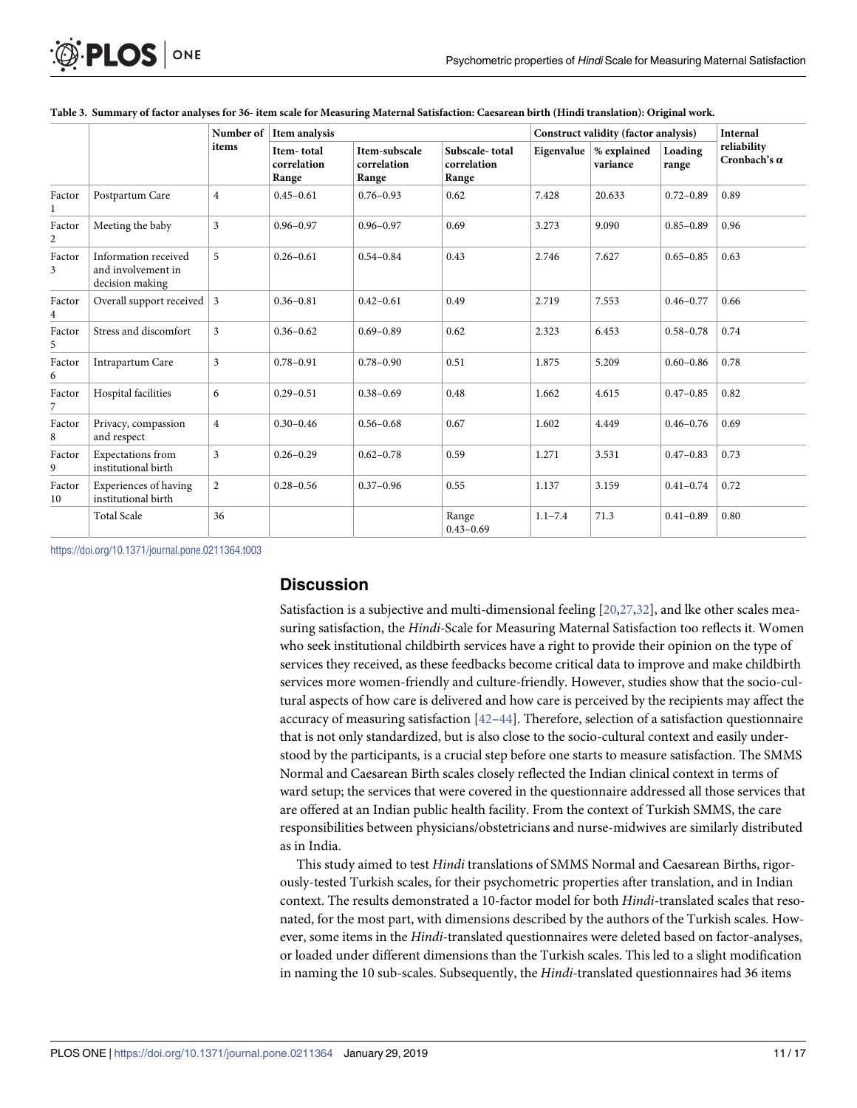|                          |                                                               | Number of<br>items | Item analysis                      |                                       |                                        | Construct validity (factor analysis) |                                                |                  | <b>Internal</b>             |
|--------------------------|---------------------------------------------------------------|--------------------|------------------------------------|---------------------------------------|----------------------------------------|--------------------------------------|------------------------------------------------|------------------|-----------------------------|
|                          |                                                               |                    | Item-total<br>correlation<br>Range | Item-subscale<br>correlation<br>Range | Subscale-total<br>correlation<br>Range |                                      | Eigenvalue $\frac{1}{2}$ explained<br>variance | Loading<br>range | reliability<br>Cronbach's a |
| Factor                   | Postpartum Care                                               | $\overline{4}$     | $0.45 - 0.61$                      | $0.76 - 0.93$                         | 0.62                                   | 7.428                                | 20.633                                         | $0.72 - 0.89$    | 0.89                        |
| Factor<br>$\overline{c}$ | Meeting the baby                                              | 3                  | $0.96 - 0.97$                      | $0.96 - 0.97$                         | 0.69                                   | 3.273                                | 9.090                                          | $0.85 - 0.89$    | 0.96                        |
| Factor<br>3              | Information received<br>and involvement in<br>decision making | 5                  | $0.26 - 0.61$                      | $0.54 - 0.84$                         | 0.43                                   | 2.746                                | 7.627                                          | $0.65 - 0.85$    | 0.63                        |
| Factor<br>4              | Overall support received $\vert 3 \vert$                      |                    | $0.36 - 0.81$                      | $0.42 - 0.61$                         | 0.49                                   | 2.719                                | 7.553                                          | $0.46 - 0.77$    | 0.66                        |
| Factor<br>5              | Stress and discomfort                                         | 3                  | $0.36 - 0.62$                      | $0.69 - 0.89$                         | 0.62                                   | 2.323                                | 6.453                                          | $0.58 - 0.78$    | 0.74                        |
| Factor<br>6              | Intrapartum Care                                              | 3                  | $0.78 - 0.91$                      | $0.78 - 0.90$                         | 0.51                                   | 1.875                                | 5.209                                          | $0.60 - 0.86$    | 0.78                        |
| Factor<br>$\overline{7}$ | Hospital facilities                                           | 6                  | $0.29 - 0.51$                      | $0.38 - 0.69$                         | 0.48                                   | 1.662                                | 4.615                                          | $0.47 - 0.85$    | 0.82                        |
| Factor<br>8              | Privacy, compassion<br>and respect                            | $\overline{4}$     | $0.30 - 0.46$                      | $0.56 - 0.68$                         | 0.67                                   | 1.602                                | 4.449                                          | $0.46 - 0.76$    | 0.69                        |
| Factor<br>9              | <b>Expectations</b> from<br>institutional birth               | 3                  | $0.26 - 0.29$                      | $0.62 - 0.78$                         | 0.59                                   | 1.271                                | 3.531                                          | $0.47 - 0.83$    | 0.73                        |
| Factor<br>10             | Experiences of having<br>institutional birth                  | $\overline{2}$     | $0.28 - 0.56$                      | $0.37 - 0.96$                         | 0.55                                   | 1.137                                | 3.159                                          | $0.41 - 0.74$    | 0.72                        |
|                          | <b>Total Scale</b>                                            | 36                 |                                    |                                       | Range<br>$0.43 - 0.69$                 | $1.1 - 7.4$                          | 71.3                                           | $0.41 - 0.89$    | 0.80                        |

<span id="page-10-0"></span>

<https://doi.org/10.1371/journal.pone.0211364.t003>

## **Discussion**

Satisfaction is a subjective and multi-dimensional feeling [\[20,27](#page-14-0),[32](#page-14-0)], and lke other scales measuring satisfaction, the *Hindi-*Scale for Measuring Maternal Satisfaction too reflects it. Women who seek institutional childbirth services have a right to provide their opinion on the type of services they received, as these feedbacks become critical data to improve and make childbirth services more women-friendly and culture-friendly. However, studies show that the socio-cultural aspects of how care is delivered and how care is perceived by the recipients may affect the accuracy of measuring satisfaction  $[42-44]$ . Therefore, selection of a satisfaction questionnaire that is not only standardized, but is also close to the socio-cultural context and easily understood by the participants, is a crucial step before one starts to measure satisfaction. The SMMS Normal and Caesarean Birth scales closely reflected the Indian clinical context in terms of ward setup; the services that were covered in the questionnaire addressed all those services that are offered at an Indian public health facility. From the context of Turkish SMMS, the care responsibilities between physicians/obstetricians and nurse-midwives are similarly distributed as in India.

This study aimed to test *Hindi* translations of SMMS Normal and Caesarean Births, rigorously-tested Turkish scales, for their psychometric properties after translation, and in Indian context. The results demonstrated a 10-factor model for both *Hindi*-translated scales that resonated, for the most part, with dimensions described by the authors of the Turkish scales. However, some items in the *Hindi*-translated questionnaires were deleted based on factor-analyses, or loaded under different dimensions than the Turkish scales. This led to a slight modification in naming the 10 sub-scales. Subsequently, the *Hindi-*translated questionnaires had 36 items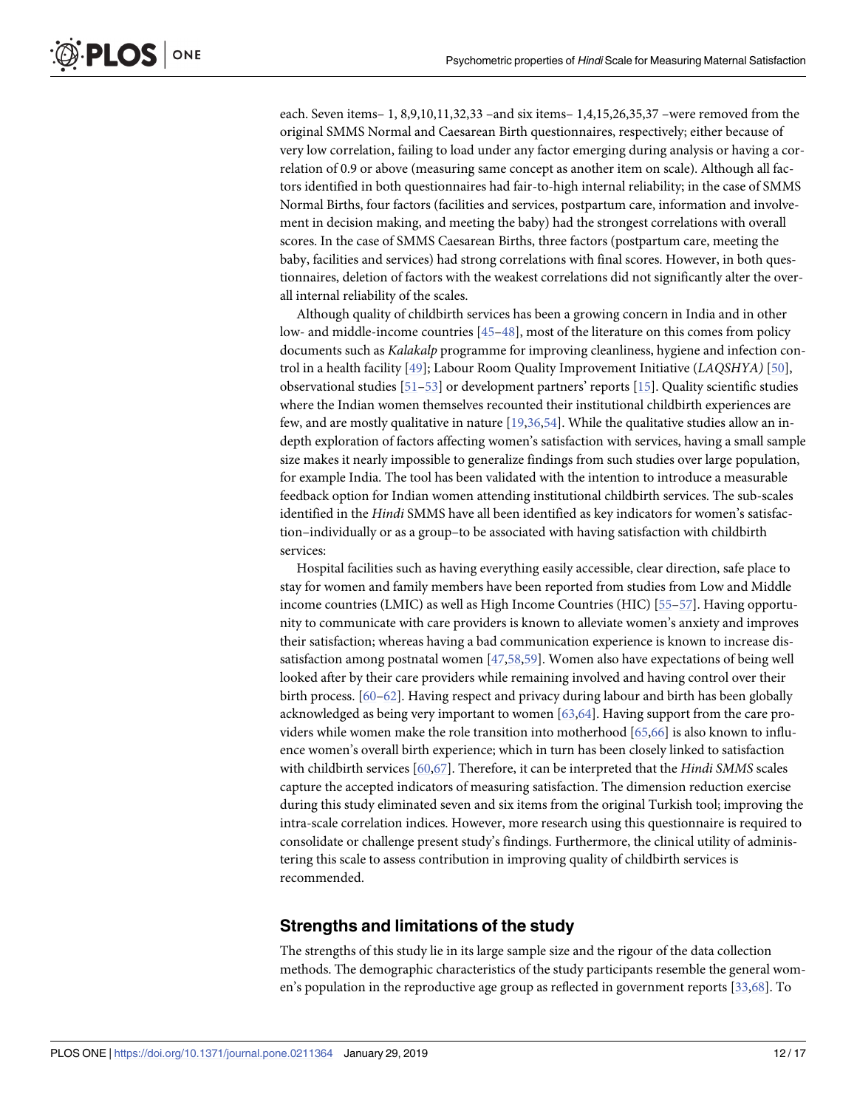<span id="page-11-0"></span>each. Seven items– 1, 8,9,10,11,32,33 –and six items– 1,4,15,26,35,37 –were removed from the original SMMS Normal and Caesarean Birth questionnaires, respectively; either because of very low correlation, failing to load under any factor emerging during analysis or having a correlation of 0.9 or above (measuring same concept as another item on scale). Although all factors identified in both questionnaires had fair-to-high internal reliability; in the case of SMMS Normal Births, four factors (facilities and services, postpartum care, information and involvement in decision making, and meeting the baby) had the strongest correlations with overall scores. In the case of SMMS Caesarean Births, three factors (postpartum care, meeting the baby, facilities and services) had strong correlations with final scores. However, in both questionnaires, deletion of factors with the weakest correlations did not significantly alter the overall internal reliability of the scales.

Although quality of childbirth services has been a growing concern in India and in other low- and middle-income countries [[45](#page-15-0)–[48](#page-15-0)], most of the literature on this comes from policy documents such as *Kalakalp* programme for improving cleanliness, hygiene and infection control in a health facility [\[49\]](#page-15-0); Labour Room Quality Improvement Initiative (*LAQSHYA)* [\[50\]](#page-15-0), observational studies [\[51–53](#page-15-0)] or development partners' reports [[15](#page-13-0)]. Quality scientific studies where the Indian women themselves recounted their institutional childbirth experiences are few, and are mostly qualitative in nature [\[19,36](#page-14-0),[54](#page-15-0)]. While the qualitative studies allow an indepth exploration of factors affecting women's satisfaction with services, having a small sample size makes it nearly impossible to generalize findings from such studies over large population, for example India. The tool has been validated with the intention to introduce a measurable feedback option for Indian women attending institutional childbirth services. The sub-scales identified in the *Hindi* SMMS have all been identified as key indicators for women's satisfaction–individually or as a group–to be associated with having satisfaction with childbirth services:

Hospital facilities such as having everything easily accessible, clear direction, safe place to stay for women and family members have been reported from studies from Low and Middle income countries (LMIC) as well as High Income Countries (HIC) [[55–57\]](#page-16-0). Having opportunity to communicate with care providers is known to alleviate women's anxiety and improves their satisfaction; whereas having a bad communication experience is known to increase dissatisfaction among postnatal women [\[47,](#page-15-0)[58](#page-16-0),[59](#page-16-0)]. Women also have expectations of being well looked after by their care providers while remaining involved and having control over their birth process. [\[60–62\]](#page-16-0). Having respect and privacy during labour and birth has been globally acknowledged as being very important to women [\[63,64\]](#page-16-0). Having support from the care providers while women make the role transition into motherhood [[65,66\]](#page-16-0) is also known to influence women's overall birth experience; which in turn has been closely linked to satisfaction with childbirth services [\[60,67\]](#page-16-0). Therefore, it can be interpreted that the *Hindi SMMS* scales capture the accepted indicators of measuring satisfaction. The dimension reduction exercise during this study eliminated seven and six items from the original Turkish tool; improving the intra-scale correlation indices. However, more research using this questionnaire is required to consolidate or challenge present study's findings. Furthermore, the clinical utility of administering this scale to assess contribution in improving quality of childbirth services is recommended.

# **Strengths and limitations of the study**

The strengths of this study lie in its large sample size and the rigour of the data collection methods. The demographic characteristics of the study participants resemble the general women's population in the reproductive age group as reflected in government reports [\[33](#page-14-0)[,68\]](#page-16-0). To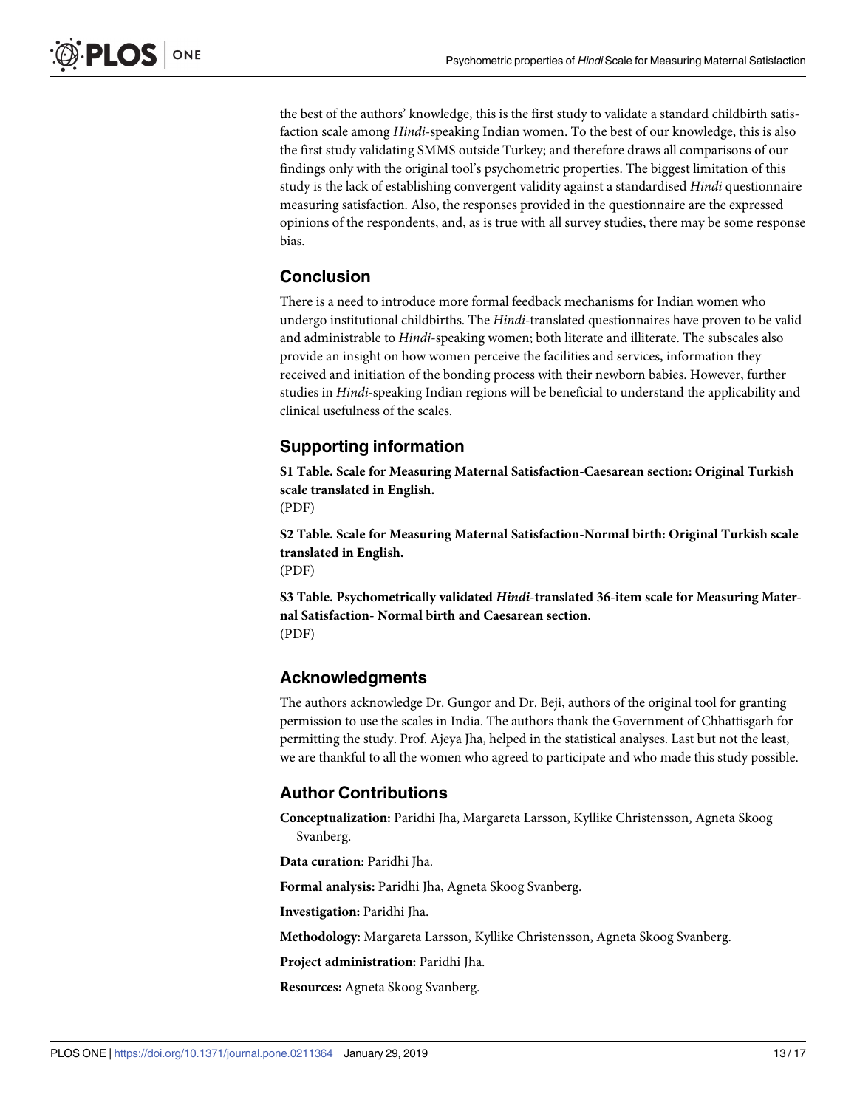the best of the authors' knowledge, this is the first study to validate a standard childbirth satisfaction scale among *Hindi*-speaking Indian women. To the best of our knowledge, this is also the first study validating SMMS outside Turkey; and therefore draws all comparisons of our findings only with the original tool's psychometric properties. The biggest limitation of this study is the lack of establishing convergent validity against a standardised *Hindi* questionnaire measuring satisfaction. Also, the responses provided in the questionnaire are the expressed opinions of the respondents, and, as is true with all survey studies, there may be some response bias.

# **Conclusion**

There is a need to introduce more formal feedback mechanisms for Indian women who undergo institutional childbirths. The *Hindi-*translated questionnaires have proven to be valid and administrable to *Hindi*-speaking women; both literate and illiterate. The subscales also provide an insight on how women perceive the facilities and services, information they received and initiation of the bonding process with their newborn babies. However, further studies in *Hindi-*speaking Indian regions will be beneficial to understand the applicability and clinical usefulness of the scales.

# **Supporting information**

**S1 [Table.](http://www.plosone.org/article/fetchSingleRepresentation.action?uri=info:doi/10.1371/journal.pone.0211364.s001) Scale for Measuring Maternal Satisfaction-Caesarean section: Original Turkish scale translated in English.**

(PDF)

**S2 [Table.](http://www.plosone.org/article/fetchSingleRepresentation.action?uri=info:doi/10.1371/journal.pone.0211364.s002) Scale for Measuring Maternal Satisfaction-Normal birth: Original Turkish scale translated in English.** (PDF)

**S3 [Table.](http://www.plosone.org/article/fetchSingleRepresentation.action?uri=info:doi/10.1371/journal.pone.0211364.s003) Psychometrically validated** *Hindi***-translated 36-item scale for Measuring Maternal Satisfaction- Normal birth and Caesarean section.** (PDF)

# **Acknowledgments**

The authors acknowledge Dr. Gungor and Dr. Beji, authors of the original tool for granting permission to use the scales in India. The authors thank the Government of Chhattisgarh for permitting the study. Prof. Ajeya Jha, helped in the statistical analyses. Last but not the least, we are thankful to all the women who agreed to participate and who made this study possible.

# **Author Contributions**

**Conceptualization:** Paridhi Jha, Margareta Larsson, Kyllike Christensson, Agneta Skoog Svanberg.

**Data curation:** Paridhi Jha.

**Formal analysis:** Paridhi Jha, Agneta Skoog Svanberg.

**Investigation:** Paridhi Jha.

**Methodology:** Margareta Larsson, Kyllike Christensson, Agneta Skoog Svanberg.

**Project administration:** Paridhi Jha.

**Resources:** Agneta Skoog Svanberg.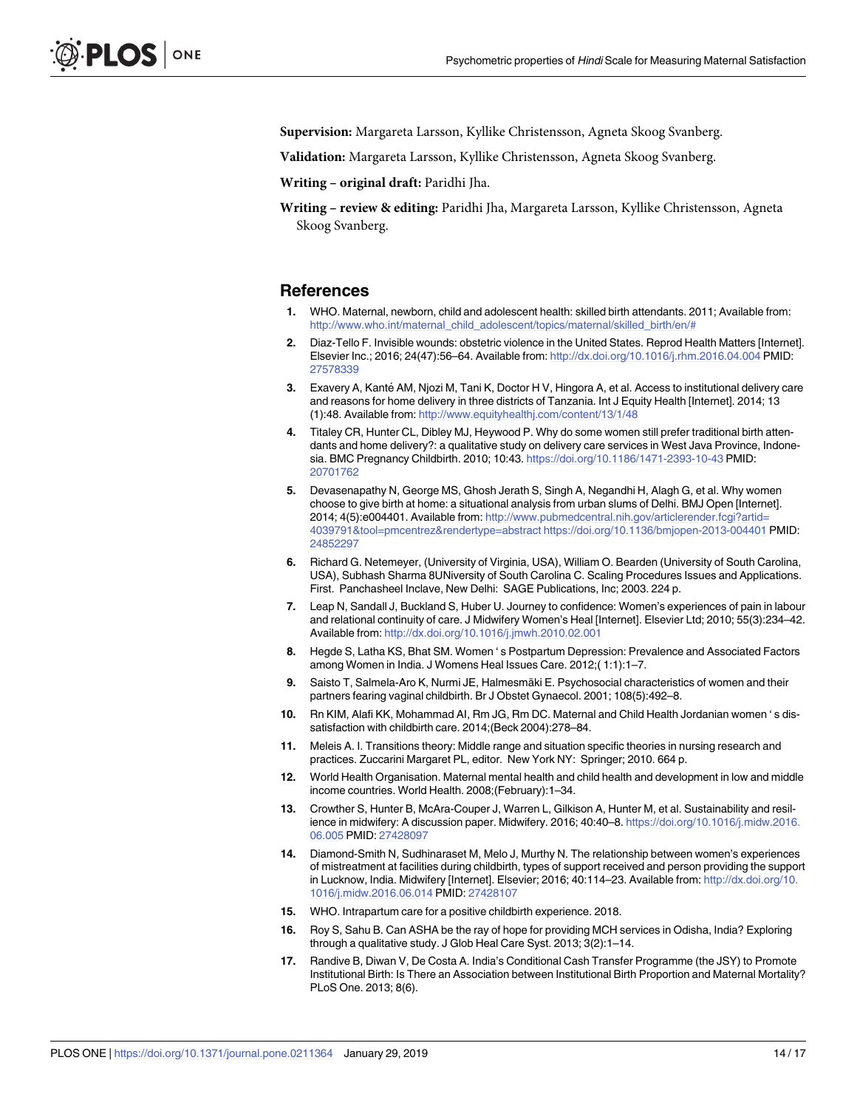<span id="page-13-0"></span>**Supervision:** Margareta Larsson, Kyllike Christensson, Agneta Skoog Svanberg.

**Validation:** Margareta Larsson, Kyllike Christensson, Agneta Skoog Svanberg.

**Writing – original draft:** Paridhi Jha.

**Writing – review & editing:** Paridhi Jha, Margareta Larsson, Kyllike Christensson, Agneta Skoog Svanberg.

#### **References**

- **[1](#page-1-0).** WHO. Maternal, newborn, child and adolescent health: skilled birth attendants. 2011; Available from: [http://www.who.int/maternal\\_child\\_adolescent/topics/maternal/skilled\\_birth/en/#](http://www.who.int/maternal_child_adolescent/topics/maternal/skilled_birth/en/#)
- **[2](#page-1-0).** Diaz-Tello F. Invisible wounds: obstetric violence in the United States. Reprod Health Matters [Internet]. Elsevier Inc.; 2016; 24(47):56–64. Available from: <http://dx.doi.org/10.1016/j.rhm.2016.04.004> PMID: [27578339](http://www.ncbi.nlm.nih.gov/pubmed/27578339)
- **3.** Exavery A, Kanté AM, Njozi M, Tani K, Doctor H V, Hingora A, et al. Access to institutional delivery care and reasons for home delivery in three districts of Tanzania. Int J Equity Health [Internet]. 2014; 13 (1):48. Available from: <http://www.equityhealthj.com/content/13/1/48>
- **4.** Titaley CR, Hunter CL, Dibley MJ, Heywood P. Why do some women still prefer traditional birth attendants and home delivery?: a qualitative study on delivery care services in West Java Province, Indonesia. BMC Pregnancy Childbirth. 2010; 10:43. <https://doi.org/10.1186/1471-2393-10-43> PMID: [20701762](http://www.ncbi.nlm.nih.gov/pubmed/20701762)
- **[5](#page-1-0).** Devasenapathy N, George MS, Ghosh Jerath S, Singh A, Negandhi H, Alagh G, et al. Why women choose to give birth at home: a situational analysis from urban slums of Delhi. BMJ Open [Internet]. 2014; 4(5):e004401. Available from: [http://www.pubmedcentral.nih.gov/articlerender.fcgi?artid=](http://www.pubmedcentral.nih.gov/articlerender.fcgi?artid=4039791&tool=pmcentrez&rendertype=abstract) [4039791&tool=pmcentrez&rendertype=abstract](http://www.pubmedcentral.nih.gov/articlerender.fcgi?artid=4039791&tool=pmcentrez&rendertype=abstract) <https://doi.org/10.1136/bmjopen-2013-004401> PMID: [24852297](http://www.ncbi.nlm.nih.gov/pubmed/24852297)
- **[6](#page-1-0).** Richard G. Netemeyer, (University of Virginia, USA), William O. Bearden (University of South Carolina, USA), Subhash Sharma 8UNiversity of South Carolina C. Scaling Procedures Issues and Applications. First. Panchasheel Inclave, New Delhi: SAGE Publications, Inc; 2003. 224 p.
- **[7](#page-1-0).** Leap N, Sandall J, Buckland S, Huber U. Journey to confidence: Women's experiences of pain in labour and relational continuity of care. J Midwifery Women's Heal [Internet]. Elsevier Ltd; 2010; 55(3):234–42. Available from: <http://dx.doi.org/10.1016/j.jmwh.2010.02.001>
- **8.** Hegde S, Latha KS, Bhat SM. Women ' s Postpartum Depression: Prevalence and Associated Factors among Women in India. J Womens Heal Issues Care. 2012;( 1:1):1–7.
- **[9](#page-1-0).** Saisto T, Salmela-Aro K, Nurmi JE, Halmesmäki E. Psychosocial characteristics of women and their partners fearing vaginal childbirth. Br J Obstet Gynaecol. 2001; 108(5):492–8.
- **[10](#page-1-0).** Rn KIM, Alafi KK, Mohammad AI, Rm JG, Rm DC. Maternal and Child Health Jordanian women ' s dissatisfaction with childbirth care. 2014;(Beck 2004):278–84.
- **11.** Meleis A. I. Transitions theory: Middle range and situation specific theories in nursing research and practices. Zuccarini Margaret PL, editor. New York NY: Springer; 2010. 664 p.
- **[12](#page-1-0).** World Health Organisation. Maternal mental health and child health and development in low and middle income countries. World Health. 2008;(February):1–34.
- **[13](#page-1-0).** Crowther S, Hunter B, McAra-Couper J, Warren L, Gilkison A, Hunter M, et al. Sustainability and resilience in midwifery: A discussion paper. Midwifery. 2016; 40:40–8. [https://doi.org/10.1016/j.midw.2016.](https://doi.org/10.1016/j.midw.2016.06.005) [06.005](https://doi.org/10.1016/j.midw.2016.06.005) PMID: [27428097](http://www.ncbi.nlm.nih.gov/pubmed/27428097)
- **[14](#page-1-0).** Diamond-Smith N, Sudhinaraset M, Melo J, Murthy N. The relationship between women's experiences of mistreatment at facilities during childbirth, types of support received and person providing the support in Lucknow, India. Midwifery [Internet]. Elsevier; 2016; 40:114–23. Available from: [http://dx.doi.org/10.](http://dx.doi.org/10.1016/j.midw.2016.06.014) [1016/j.midw.2016.06.014](http://dx.doi.org/10.1016/j.midw.2016.06.014) PMID: [27428107](http://www.ncbi.nlm.nih.gov/pubmed/27428107)
- **[15](#page-1-0).** WHO. Intrapartum care for a positive childbirth experience. 2018.
- **[16](#page-1-0).** Roy S, Sahu B. Can ASHA be the ray of hope for providing MCH services in Odisha, India? Exploring through a qualitative study. J Glob Heal Care Syst. 2013; 3(2):1–14.
- **[17](#page-1-0).** Randive B, Diwan V, De Costa A. India's Conditional Cash Transfer Programme (the JSY) to Promote Institutional Birth: Is There an Association between Institutional Birth Proportion and Maternal Mortality? PLoS One. 2013; 8(6).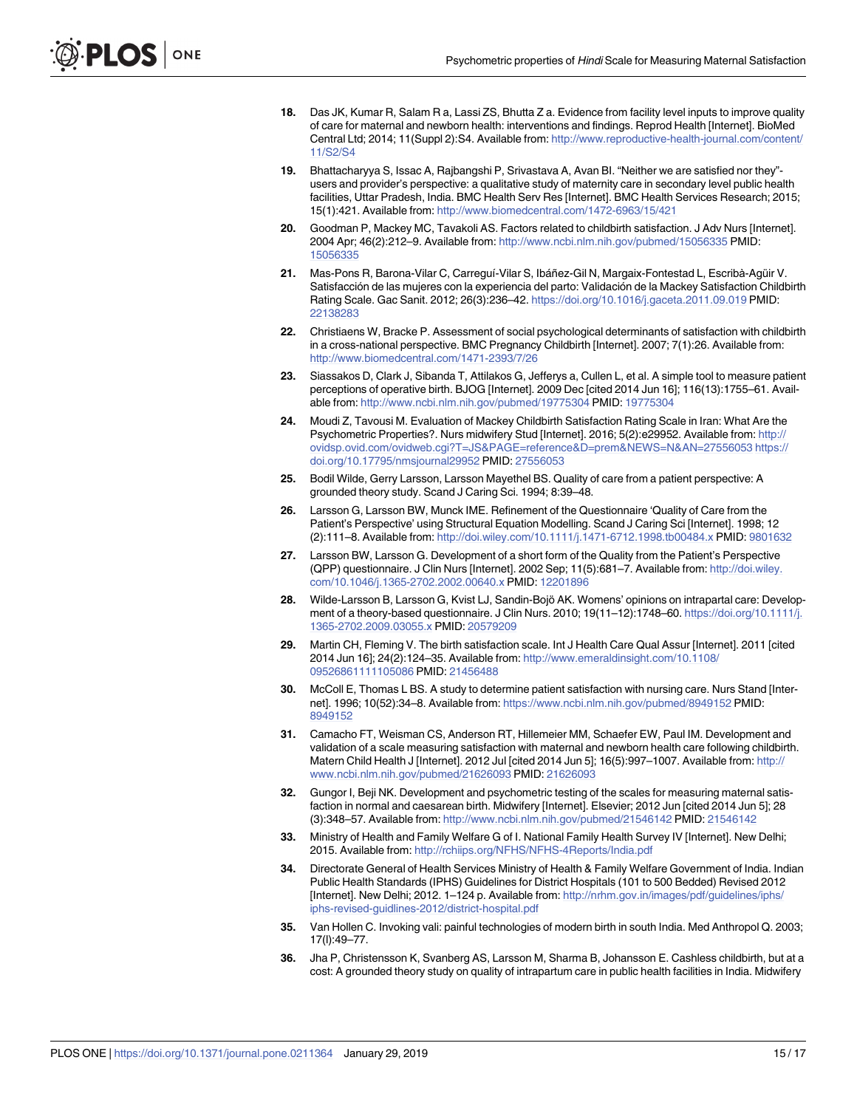- <span id="page-14-0"></span>**[18](#page-1-0).** Das JK, Kumar R, Salam R a, Lassi ZS, Bhutta Z a. Evidence from facility level inputs to improve quality of care for maternal and newborn health: interventions and findings. Reprod Health [Internet]. BioMed Central Ltd; 2014; 11(Suppl 2):S4. Available from: [http://www.reproductive-health-journal.com/content/](http://www.reproductive-health-journal.com/content/11/S2/S4) [11/S2/S4](http://www.reproductive-health-journal.com/content/11/S2/S4)
- **[19](#page-1-0).** Bhattacharyya S, Issac A, Rajbangshi P, Srivastava A, Avan BI. "Neither we are satisfied nor they" users and provider's perspective: a qualitative study of maternity care in secondary level public health facilities, Uttar Pradesh, India. BMC Health Serv Res [Internet]. BMC Health Services Research; 2015; 15(1):421. Available from: <http://www.biomedcentral.com/1472-6963/15/421>
- **[20](#page-1-0).** Goodman P, Mackey MC, Tavakoli AS. Factors related to childbirth satisfaction. J Adv Nurs [Internet]. 2004 Apr; 46(2):212–9. Available from: <http://www.ncbi.nlm.nih.gov/pubmed/15056335> PMID: [15056335](http://www.ncbi.nlm.nih.gov/pubmed/15056335)
- [21](#page-1-0). Mas-Pons R, Barona-Vilar C, Carreguí-Vilar S, Ibáñez-Gil N, Margaix-Fontestad L, Escribà-Agüir V. Satisfacción de las mujeres con la experiencia del parto: Validación de la Mackey Satisfaction Childbirth Rating Scale. Gac Sanit. 2012; 26(3):236–42. <https://doi.org/10.1016/j.gaceta.2011.09.019> PMID: [22138283](http://www.ncbi.nlm.nih.gov/pubmed/22138283)
- **22.** Christiaens W, Bracke P. Assessment of social psychological determinants of satisfaction with childbirth in a cross-national perspective. BMC Pregnancy Childbirth [Internet]. 2007; 7(1):26. Available from: <http://www.biomedcentral.com/1471-2393/7/26>
- **23.** Siassakos D, Clark J, Sibanda T, Attilakos G, Jefferys a, Cullen L, et al. A simple tool to measure patient perceptions of operative birth. BJOG [Internet]. 2009 Dec [cited 2014 Jun 16]; 116(13):1755–61. Available from: <http://www.ncbi.nlm.nih.gov/pubmed/19775304> PMID: [19775304](http://www.ncbi.nlm.nih.gov/pubmed/19775304)
- **[24](#page-1-0).** Moudi Z, Tavousi M. Evaluation of Mackey Childbirth Satisfaction Rating Scale in Iran: What Are the Psychometric Properties?. Nurs midwifery Stud [Internet]. 2016; 5(2):e29952. Available from: [http://](http://ovidsp.ovid.com/ovidweb.cgi?T=JS&PAGE=reference&D=prem&NEWS=N&AN=27556053) [ovidsp.ovid.com/ovidweb.cgi?T=JS&PAGE=reference&D=prem&NEWS=N&AN=27556053](http://ovidsp.ovid.com/ovidweb.cgi?T=JS&PAGE=reference&D=prem&NEWS=N&AN=27556053) [https://](https://doi.org/10.17795/nmsjournal29952) [doi.org/10.17795/nmsjournal29952](https://doi.org/10.17795/nmsjournal29952) PMID: [27556053](http://www.ncbi.nlm.nih.gov/pubmed/27556053)
- **[25](#page-1-0).** Bodil Wilde, Gerry Larsson, Larsson Mayethel BS. Quality of care from a patient perspective: A grounded theory study. Scand J Caring Sci. 1994; 8:39–48.
- **[26](#page-1-0).** Larsson G, Larsson BW, Munck IME. Refinement of the Questionnaire 'Quality of Care from the Patient's Perspective' using Structural Equation Modelling. Scand J Caring Sci [Internet]. 1998; 12 (2):111–8. Available from: <http://doi.wiley.com/10.1111/j.1471-6712.1998.tb00484.x> PMID: [9801632](http://www.ncbi.nlm.nih.gov/pubmed/9801632)
- **[27](#page-10-0).** Larsson BW, Larsson G. Development of a short form of the Quality from the Patient's Perspective (QPP) questionnaire. J Clin Nurs [Internet]. 2002 Sep; 11(5):681–7. Available from: [http://doi.wiley.](http://doi.wiley.com/10.1046/j.1365-2702.2002.00640.x) [com/10.1046/j.1365-2702.2002.00640.x](http://doi.wiley.com/10.1046/j.1365-2702.2002.00640.x) PMID: [12201896](http://www.ncbi.nlm.nih.gov/pubmed/12201896)
- [28](#page-1-0). Wilde-Larsson B, Larsson G, Kvist LJ, Sandin-Bojö AK. Womens' opinions on intrapartal care: Development of a theory-based questionnaire. J Clin Nurs. 2010; 19(11–12):1748–60. [https://doi.org/10.1111/j.](https://doi.org/10.1111/j.1365-2702.2009.03055.x) [1365-2702.2009.03055.x](https://doi.org/10.1111/j.1365-2702.2009.03055.x) PMID: [20579209](http://www.ncbi.nlm.nih.gov/pubmed/20579209)
- **[29](#page-2-0).** Martin CH, Fleming V. The birth satisfaction scale. Int J Health Care Qual Assur [Internet]. 2011 [cited 2014 Jun 16]; 24(2):124–35. Available from: [http://www.emeraldinsight.com/10.1108/](http://www.emeraldinsight.com/10.1108/09526861111105086) [09526861111105086](http://www.emeraldinsight.com/10.1108/09526861111105086) PMID: [21456488](http://www.ncbi.nlm.nih.gov/pubmed/21456488)
- **[30](#page-2-0).** McColl E, Thomas L BS. A study to determine patient satisfaction with nursing care. Nurs Stand [Internet]. 1996; 10(52):34–8. Available from: <https://www.ncbi.nlm.nih.gov/pubmed/8949152> PMID: [8949152](http://www.ncbi.nlm.nih.gov/pubmed/8949152)
- **[31](#page-2-0).** Camacho FT, Weisman CS, Anderson RT, Hillemeier MM, Schaefer EW, Paul IM. Development and validation of a scale measuring satisfaction with maternal and newborn health care following childbirth. Matern Child Health J [Internet]. 2012 Jul [cited 2014 Jun 5]; 16(5):997–1007. Available from: [http://](http://www.ncbi.nlm.nih.gov/pubmed/21626093) [www.ncbi.nlm.nih.gov/pubmed/21626093](http://www.ncbi.nlm.nih.gov/pubmed/21626093) PMID: [21626093](http://www.ncbi.nlm.nih.gov/pubmed/21626093)
- **[32](#page-2-0).** Gungor I, Beji NK. Development and psychometric testing of the scales for measuring maternal satisfaction in normal and caesarean birth. Midwifery [Internet]. Elsevier; 2012 Jun [cited 2014 Jun 5]; 28 (3):348–57. Available from: <http://www.ncbi.nlm.nih.gov/pubmed/21546142> PMID: [21546142](http://www.ncbi.nlm.nih.gov/pubmed/21546142)
- **[33](#page-2-0).** Ministry of Health and Family Welfare G of I. National Family Health Survey IV [Internet]. New Delhi; 2015. Available from: <http://rchiips.org/NFHS/NFHS-4Reports/India.pdf>
- **[34](#page-2-0).** Directorate General of Health Services Ministry of Health & Family Welfare Government of India. Indian Public Health Standards (IPHS) Guidelines for District Hospitals (101 to 500 Bedded) Revised 2012 [Internet]. New Delhi; 2012. 1–124 p. Available from: [http://nrhm.gov.in/images/pdf/guidelines/iphs/](http://nrhm.gov.in/images/pdf/guidelines/iphs/iphs-revised-guidlines-2012/district-hospital.pdf) [iphs-revised-guidlines-2012/district-hospital.pdf](http://nrhm.gov.in/images/pdf/guidelines/iphs/iphs-revised-guidlines-2012/district-hospital.pdf)
- **[35](#page-3-0).** Van Hollen C. Invoking vali: painful technologies of modern birth in south India. Med Anthropol Q. 2003; 17(l):49–77.
- **[36](#page-11-0).** Jha P, Christensson K, Svanberg AS, Larsson M, Sharma B, Johansson E. Cashless childbirth, but at a cost: A grounded theory study on quality of intrapartum care in public health facilities in India. Midwifery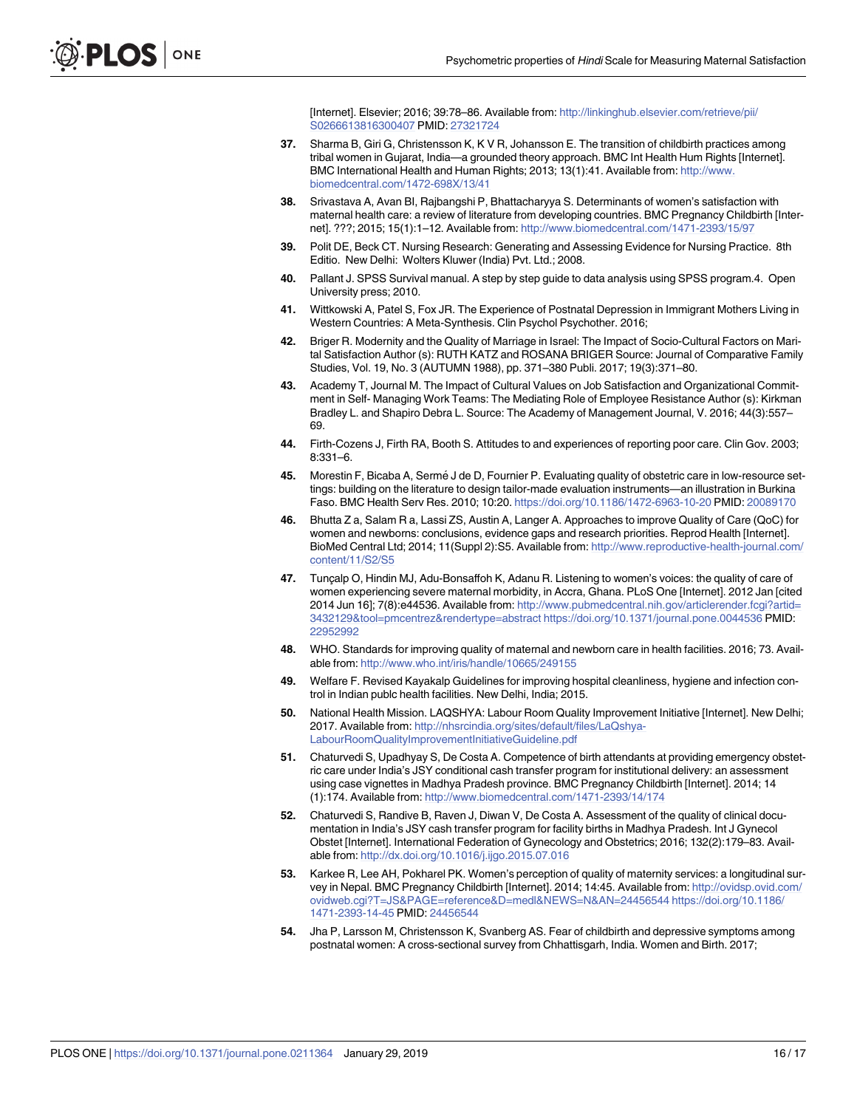[Internet]. Elsevier; 2016; 39:78–86. Available from: [http://linkinghub.elsevier.com/retrieve/pii/](http://linkinghub.elsevier.com/retrieve/pii/S0266613816300407) [S0266613816300407](http://linkinghub.elsevier.com/retrieve/pii/S0266613816300407) PMID: [27321724](http://www.ncbi.nlm.nih.gov/pubmed/27321724)

- <span id="page-15-0"></span>**37.** Sharma B, Giri G, Christensson K, K V R, Johansson E. The transition of childbirth practices among tribal women in Gujarat, India—a grounded theory approach. BMC Int Health Hum Rights [Internet]. BMC International Health and Human Rights; 2013; 13(1):41. Available from: [http://www.](http://www.biomedcentral.com/1472-698X/13/41) [biomedcentral.com/1472-698X/13/41](http://www.biomedcentral.com/1472-698X/13/41)
- **[38](#page-3-0).** Srivastava A, Avan BI, Rajbangshi P, Bhattacharyya S. Determinants of women's satisfaction with maternal health care: a review of literature from developing countries. BMC Pregnancy Childbirth [Internet]. ???; 2015; 15(1):1–12. Available from: <http://www.biomedcentral.com/1471-2393/15/97>
- **[39](#page-5-0).** Polit DE, Beck CT. Nursing Research: Generating and Assessing Evidence for Nursing Practice. 8th Editio. New Delhi: Wolters Kluwer (India) Pvt. Ltd.; 2008.
- **[40](#page-6-0).** Pallant J. SPSS Survival manual. A step by step guide to data analysis using SPSS program.4. Open University press; 2010.
- **[41](#page-6-0).** Wittkowski A, Patel S, Fox JR. The Experience of Postnatal Depression in Immigrant Mothers Living in Western Countries: A Meta-Synthesis. Clin Psychol Psychother. 2016;
- **[42](#page-10-0).** Briger R. Modernity and the Quality of Marriage in Israel: The Impact of Socio-Cultural Factors on Marital Satisfaction Author (s): RUTH KATZ and ROSANA BRIGER Source: Journal of Comparative Family Studies, Vol. 19, No. 3 (AUTUMN 1988), pp. 371–380 Publi. 2017; 19(3):371–80.
- **43.** Academy T, Journal M. The Impact of Cultural Values on Job Satisfaction and Organizational Commitment in Self- Managing Work Teams: The Mediating Role of Employee Resistance Author (s): Kirkman Bradley L. and Shapiro Debra L. Source: The Academy of Management Journal, V. 2016; 44(3):557– 69.
- **[44](#page-10-0).** Firth-Cozens J, Firth RA, Booth S. Attitudes to and experiences of reporting poor care. Clin Gov. 2003; 8:331–6.
- **[45](#page-11-0).** Morestin F, Bicaba A, Sermé J de D, Fournier P. Evaluating quality of obstetric care in low-resource settings: building on the literature to design tailor-made evaluation instruments—an illustration in Burkina Faso. BMC Health Serv Res. 2010; 10:20. <https://doi.org/10.1186/1472-6963-10-20> PMID: [20089170](http://www.ncbi.nlm.nih.gov/pubmed/20089170)
- **46.** Bhutta Z a, Salam R a, Lassi ZS, Austin A, Langer A. Approaches to improve Quality of Care (QoC) for women and newborns: conclusions, evidence gaps and research priorities. Reprod Health [Internet]. BioMed Central Ltd; 2014; 11(Suppl 2):S5. Available from: [http://www.reproductive-health-journal.com/](http://www.reproductive-health-journal.com/content/11/S2/S5) [content/11/S2/S5](http://www.reproductive-health-journal.com/content/11/S2/S5)
- **[47](#page-11-0).** Tunçalp O, Hindin MJ, Adu-Bonsaffoh K, Adanu R. Listening to women's voices: the quality of care of women experiencing severe maternal morbidity, in Accra, Ghana. PLoS One [Internet]. 2012 Jan [cited 2014 Jun 16]; 7(8):e44536. Available from: [http://www.pubmedcentral.nih.gov/articlerender.fcgi?artid=](http://www.pubmedcentral.nih.gov/articlerender.fcgi?artid=3432129&tool=pmcentrez&rendertype=abstract) [3432129&tool=pmcentrez&rendertype=abstract](http://www.pubmedcentral.nih.gov/articlerender.fcgi?artid=3432129&tool=pmcentrez&rendertype=abstract) <https://doi.org/10.1371/journal.pone.0044536> PMID: [22952992](http://www.ncbi.nlm.nih.gov/pubmed/22952992)
- **[48](#page-11-0).** WHO. Standards for improving quality of maternal and newborn care in health facilities. 2016; 73. Available from: <http://www.who.int/iris/handle/10665/249155>
- **[49](#page-11-0).** Welfare F. Revised Kayakalp Guidelines for improving hospital cleanliness, hygiene and infection control in Indian publc health facilities. New Delhi, India; 2015.
- **[50](#page-11-0).** National Health Mission. LAQSHYA: Labour Room Quality Improvement Initiative [Internet]. New Delhi; 2017. Available from: [http://nhsrcindia.org/sites/default/files/LaQshya-](http://nhsrcindia.org/sites/default/files/LaQshya-LabourRoomQualityImprovementInitiativeGuideline.pdf)[LabourRoomQualityImprovementInitiativeGuideline.pdf](http://nhsrcindia.org/sites/default/files/LaQshya-LabourRoomQualityImprovementInitiativeGuideline.pdf)
- **[51](#page-11-0).** Chaturvedi S, Upadhyay S, De Costa A. Competence of birth attendants at providing emergency obstetric care under India's JSY conditional cash transfer program for institutional delivery: an assessment using case vignettes in Madhya Pradesh province. BMC Pregnancy Childbirth [Internet]. 2014; 14 (1):174. Available from: <http://www.biomedcentral.com/1471-2393/14/174>
- **52.** Chaturvedi S, Randive B, Raven J, Diwan V, De Costa A. Assessment of the quality of clinical documentation in India's JSY cash transfer program for facility births in Madhya Pradesh. Int J Gynecol Obstet [Internet]. International Federation of Gynecology and Obstetrics; 2016; 132(2):179–83. Available from: <http://dx.doi.org/10.1016/j.ijgo.2015.07.016>
- **[53](#page-11-0).** Karkee R, Lee AH, Pokharel PK. Women's perception of quality of maternity services: a longitudinal survey in Nepal. BMC Pregnancy Childbirth [Internet]. 2014; 14:45. Available from: [http://ovidsp.ovid.com/](http://ovidsp.ovid.com/ovidweb.cgi?T=JS&PAGE=reference&D=medl&NEWS=N&AN=24456544) [ovidweb.cgi?T=JS&PAGE=reference&D=medl&NEWS=N&AN=24456544](http://ovidsp.ovid.com/ovidweb.cgi?T=JS&PAGE=reference&D=medl&NEWS=N&AN=24456544) [https://doi.org/10.1186/](https://doi.org/10.1186/1471-2393-14-45) [1471-2393-14-45](https://doi.org/10.1186/1471-2393-14-45) PMID: [24456544](http://www.ncbi.nlm.nih.gov/pubmed/24456544)
- **[54](#page-11-0).** Jha P, Larsson M, Christensson K, Svanberg AS. Fear of childbirth and depressive symptoms among postnatal women: A cross-sectional survey from Chhattisgarh, India. Women and Birth. 2017;